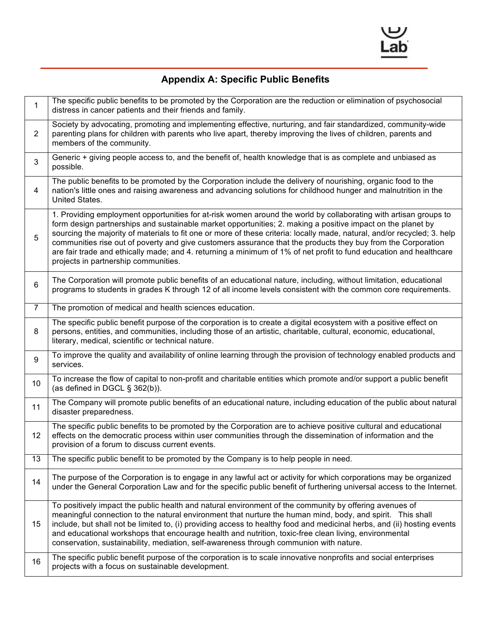

## **Appendix A: Specific Public Benefits**

| $\mathbf{1}$   | The specific public benefits to be promoted by the Corporation are the reduction or elimination of psychosocial<br>distress in cancer patients and their friends and family.                                                                                                                                                                                                                                                                                                                                                                                                                                                              |
|----------------|-------------------------------------------------------------------------------------------------------------------------------------------------------------------------------------------------------------------------------------------------------------------------------------------------------------------------------------------------------------------------------------------------------------------------------------------------------------------------------------------------------------------------------------------------------------------------------------------------------------------------------------------|
| $\overline{2}$ | Society by advocating, promoting and implementing effective, nurturing, and fair standardized, community-wide<br>parenting plans for children with parents who live apart, thereby improving the lives of children, parents and<br>members of the community.                                                                                                                                                                                                                                                                                                                                                                              |
| 3              | Generic + giving people access to, and the benefit of, health knowledge that is as complete and unbiased as<br>possible.                                                                                                                                                                                                                                                                                                                                                                                                                                                                                                                  |
| 4              | The public benefits to be promoted by the Corporation include the delivery of nourishing, organic food to the<br>nation's little ones and raising awareness and advancing solutions for childhood hunger and malnutrition in the<br>United States.                                                                                                                                                                                                                                                                                                                                                                                        |
| 5              | 1. Providing employment opportunities for at-risk women around the world by collaborating with artisan groups to<br>form design partnerships and sustainable market opportunities; 2. making a positive impact on the planet by<br>sourcing the majority of materials to fit one or more of these criteria: locally made, natural, and/or recycled; 3. help<br>communities rise out of poverty and give customers assurance that the products they buy from the Corporation<br>are fair trade and ethically made; and 4. returning a minimum of 1% of net profit to fund education and healthcare<br>projects in partnership communities. |
| 6              | The Corporation will promote public benefits of an educational nature, including, without limitation, educational<br>programs to students in grades K through 12 of all income levels consistent with the common core requirements.                                                                                                                                                                                                                                                                                                                                                                                                       |
| $\overline{7}$ | The promotion of medical and health sciences education.                                                                                                                                                                                                                                                                                                                                                                                                                                                                                                                                                                                   |
| 8              | The specific public benefit purpose of the corporation is to create a digital ecosystem with a positive effect on<br>persons, entities, and communities, including those of an artistic, charitable, cultural, economic, educational,<br>literary, medical, scientific or technical nature.                                                                                                                                                                                                                                                                                                                                               |
| 9              | To improve the quality and availability of online learning through the provision of technology enabled products and<br>services.                                                                                                                                                                                                                                                                                                                                                                                                                                                                                                          |
| 10             | To increase the flow of capital to non-profit and charitable entities which promote and/or support a public benefit<br>(as defined in DGCL § 362(b)).                                                                                                                                                                                                                                                                                                                                                                                                                                                                                     |
| 11             | The Company will promote public benefits of an educational nature, including education of the public about natural<br>disaster preparedness.                                                                                                                                                                                                                                                                                                                                                                                                                                                                                              |
| 12             | The specific public benefits to be promoted by the Corporation are to achieve positive cultural and educational<br>effects on the democratic process within user communities through the dissemination of information and the<br>provision of a forum to discuss current events.                                                                                                                                                                                                                                                                                                                                                          |
| 13             | The specific public benefit to be promoted by the Company is to help people in need.                                                                                                                                                                                                                                                                                                                                                                                                                                                                                                                                                      |
| 14             | The purpose of the Corporation is to engage in any lawful act or activity for which corporations may be organized<br>under the General Corporation Law and for the specific public benefit of furthering universal access to the Internet.                                                                                                                                                                                                                                                                                                                                                                                                |
| 15             | To positively impact the public health and natural environment of the community by offering avenues of<br>meaningful connection to the natural environment that nurture the human mind, body, and spirit.  This shall<br>include, but shall not be limited to, (i) providing access to healthy food and medicinal herbs, and (ii) hosting events<br>and educational workshops that encourage health and nutrition, toxic-free clean living, environmental<br>conservation, sustainability, mediation, self-awareness through communion with nature.                                                                                       |
| 16             | The specific public benefit purpose of the corporation is to scale innovative nonprofits and social enterprises<br>projects with a focus on sustainable development.                                                                                                                                                                                                                                                                                                                                                                                                                                                                      |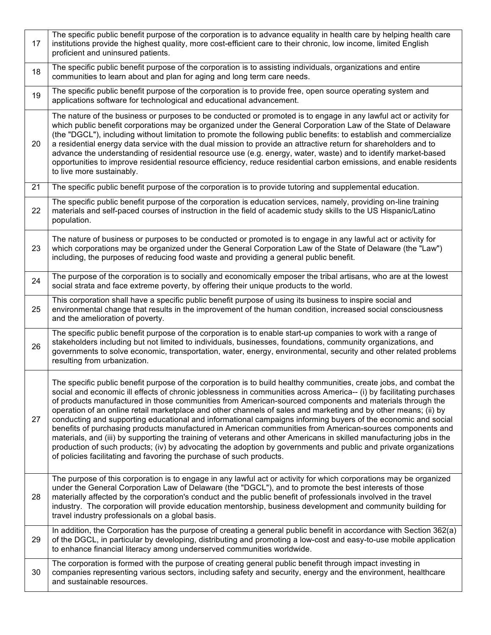| 17 | The specific public benefit purpose of the corporation is to advance equality in health care by helping health care<br>institutions provide the highest quality, more cost-efficient care to their chronic, low income, limited English<br>proficient and uninsured patients.                                                                                                                                                                                                                                                                                                                                                                                                                                                                                                                                                                                                                                                                                                                                                |
|----|------------------------------------------------------------------------------------------------------------------------------------------------------------------------------------------------------------------------------------------------------------------------------------------------------------------------------------------------------------------------------------------------------------------------------------------------------------------------------------------------------------------------------------------------------------------------------------------------------------------------------------------------------------------------------------------------------------------------------------------------------------------------------------------------------------------------------------------------------------------------------------------------------------------------------------------------------------------------------------------------------------------------------|
| 18 | The specific public benefit purpose of the corporation is to assisting individuals, organizations and entire<br>communities to learn about and plan for aging and long term care needs.                                                                                                                                                                                                                                                                                                                                                                                                                                                                                                                                                                                                                                                                                                                                                                                                                                      |
| 19 | The specific public benefit purpose of the corporation is to provide free, open source operating system and<br>applications software for technological and educational advancement.                                                                                                                                                                                                                                                                                                                                                                                                                                                                                                                                                                                                                                                                                                                                                                                                                                          |
| 20 | The nature of the business or purposes to be conducted or promoted is to engage in any lawful act or activity for<br>which public benefit corporations may be organized under the General Corporation Law of the State of Delaware<br>(the "DGCL"), including without limitation to promote the following public benefits: to establish and commercialize<br>a residential energy data service with the dual mission to provide an attractive return for shareholders and to<br>advance the understanding of residential resource use (e.g. energy, water, waste) and to identify market-based<br>opportunities to improve residential resource efficiency, reduce residential carbon emissions, and enable residents<br>to live more sustainably.                                                                                                                                                                                                                                                                           |
| 21 | The specific public benefit purpose of the corporation is to provide tutoring and supplemental education.                                                                                                                                                                                                                                                                                                                                                                                                                                                                                                                                                                                                                                                                                                                                                                                                                                                                                                                    |
| 22 | The specific public benefit purpose of the corporation is education services, namely, providing on-line training<br>materials and self-paced courses of instruction in the field of academic study skills to the US Hispanic/Latino<br>population.                                                                                                                                                                                                                                                                                                                                                                                                                                                                                                                                                                                                                                                                                                                                                                           |
| 23 | The nature of business or purposes to be conducted or promoted is to engage in any lawful act or activity for<br>which corporations may be organized under the General Corporation Law of the State of Delaware (the "Law")<br>including, the purposes of reducing food waste and providing a general public benefit.                                                                                                                                                                                                                                                                                                                                                                                                                                                                                                                                                                                                                                                                                                        |
| 24 | The purpose of the corporation is to socially and economically emposer the tribal artisans, who are at the lowest<br>social strata and face extreme poverty, by offering their unique products to the world.                                                                                                                                                                                                                                                                                                                                                                                                                                                                                                                                                                                                                                                                                                                                                                                                                 |
| 25 | This corporation shall have a specific public benefit purpose of using its business to inspire social and<br>environmental change that results in the improvement of the human condition, increased social consciousness<br>and the amelioration of poverty.                                                                                                                                                                                                                                                                                                                                                                                                                                                                                                                                                                                                                                                                                                                                                                 |
| 26 | The specific public benefit purpose of the corporation is to enable start-up companies to work with a range of<br>stakeholders including but not limited to individuals, businesses, foundations, community organizations, and<br>governments to solve economic, transportation, water, energy, environmental, security and other related problems<br>resulting from urbanization.                                                                                                                                                                                                                                                                                                                                                                                                                                                                                                                                                                                                                                           |
| 27 | The specific public benefit purpose of the corporation is to build healthy communities, create jobs, and combat the<br>social and economic ill effects of chronic joblessness in communities across America-- (i) by facilitating purchases<br>of products manufactured in those communities from American-sourced components and materials through the<br>operation of an online retail marketplace and other channels of sales and marketing and by other means; (ii) by<br>conducting and supporting educational and informational campaigns informing buyers of the economic and social<br>benefits of purchasing products manufactured in American communities from American-sources components and<br>materials, and (iii) by supporting the training of veterans and other Americans in skilled manufacturing jobs in the<br>production of such products; (iv) by advocating the adoption by governments and public and private organizations<br>of policies facilitating and favoring the purchase of such products. |
| 28 | The purpose of this corporation is to engage in any lawful act or activity for which corporations may be organized<br>under the General Corporation Law of Delaware (the "DGCL"), and to promote the best interests of those<br>materially affected by the corporation's conduct and the public benefit of professionals involved in the travel<br>industry. The corporation will provide education mentorship, business development and community building for<br>travel industry professionals on a global basis.                                                                                                                                                                                                                                                                                                                                                                                                                                                                                                          |
| 29 | In addition, the Corporation has the purpose of creating a general public benefit in accordance with Section 362(a)<br>of the DGCL, in particular by developing, distributing and promoting a low-cost and easy-to-use mobile application<br>to enhance financial literacy among underserved communities worldwide.                                                                                                                                                                                                                                                                                                                                                                                                                                                                                                                                                                                                                                                                                                          |
| 30 | The corporation is formed with the purpose of creating general public benefit through impact investing in<br>companies representing various sectors, including safety and security, energy and the environment, healthcare<br>and sustainable resources.                                                                                                                                                                                                                                                                                                                                                                                                                                                                                                                                                                                                                                                                                                                                                                     |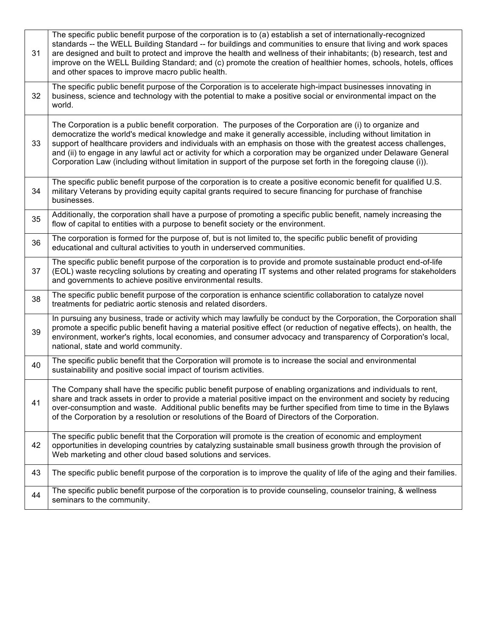| 31 | The specific public benefit purpose of the corporation is to (a) establish a set of internationally-recognized<br>standards -- the WELL Building Standard -- for buildings and communities to ensure that living and work spaces<br>are designed and built to protect and improve the health and wellness of their inhabitants; (b) research, test and<br>improve on the WELL Building Standard; and (c) promote the creation of healthier homes, schools, hotels, offices<br>and other spaces to improve macro public health.                                                   |
|----|----------------------------------------------------------------------------------------------------------------------------------------------------------------------------------------------------------------------------------------------------------------------------------------------------------------------------------------------------------------------------------------------------------------------------------------------------------------------------------------------------------------------------------------------------------------------------------|
| 32 | The specific public benefit purpose of the Corporation is to accelerate high-impact businesses innovating in<br>business, science and technology with the potential to make a positive social or environmental impact on the<br>world.                                                                                                                                                                                                                                                                                                                                           |
| 33 | The Corporation is a public benefit corporation. The purposes of the Corporation are (i) to organize and<br>democratize the world's medical knowledge and make it generally accessible, including without limitation in<br>support of healthcare providers and individuals with an emphasis on those with the greatest access challenges,<br>and (ii) to engage in any lawful act or activity for which a corporation may be organized under Delaware General<br>Corporation Law (including without limitation in support of the purpose set forth in the foregoing clause (i)). |
| 34 | The specific public benefit purpose of the corporation is to create a positive economic benefit for qualified U.S.<br>military Veterans by providing equity capital grants required to secure financing for purchase of franchise<br>businesses.                                                                                                                                                                                                                                                                                                                                 |
| 35 | Additionally, the corporation shall have a purpose of promoting a specific public benefit, namely increasing the<br>flow of capital to entities with a purpose to benefit society or the environment.                                                                                                                                                                                                                                                                                                                                                                            |
| 36 | The corporation is formed for the purpose of, but is not limited to, the specific public benefit of providing<br>educational and cultural activities to youth in underserved communities.                                                                                                                                                                                                                                                                                                                                                                                        |
| 37 | The specific public benefit purpose of the corporation is to provide and promote sustainable product end-of-life<br>(EOL) waste recycling solutions by creating and operating IT systems and other related programs for stakeholders<br>and governments to achieve positive environmental results.                                                                                                                                                                                                                                                                               |
| 38 | The specific public benefit purpose of the corporation is enhance scientific collaboration to catalyze novel<br>treatments for pediatric aortic stenosis and related disorders.                                                                                                                                                                                                                                                                                                                                                                                                  |
| 39 | In pursuing any business, trade or activity which may lawfully be conduct by the Corporation, the Corporation shall<br>promote a specific public benefit having a material positive effect (or reduction of negative effects), on health, the<br>environment, worker's rights, local economies, and consumer advocacy and transparency of Corporation's local,<br>national, state and world community.                                                                                                                                                                           |
| 40 | The specific public benefit that the Corporation will promote is to increase the social and environmental<br>sustainability and positive social impact of tourism activities.                                                                                                                                                                                                                                                                                                                                                                                                    |
| 41 | The Company shall have the specific public benefit purpose of enabling organizations and individuals to rent,<br>share and track assets in order to provide a material positive impact on the environment and society by reducing<br>over-consumption and waste. Additional public benefits may be further specified from time to time in the Bylaws<br>of the Corporation by a resolution or resolutions of the Board of Directors of the Corporation.                                                                                                                          |
| 42 | The specific public benefit that the Corporation will promote is the creation of economic and employment<br>opportunities in developing countries by catalyzing sustainable small business growth through the provision of<br>Web marketing and other cloud based solutions and services.                                                                                                                                                                                                                                                                                        |
| 43 | The specific public benefit purpose of the corporation is to improve the quality of life of the aging and their families.                                                                                                                                                                                                                                                                                                                                                                                                                                                        |
| 44 | The specific public benefit purpose of the corporation is to provide counseling, counselor training, & wellness<br>seminars to the community.                                                                                                                                                                                                                                                                                                                                                                                                                                    |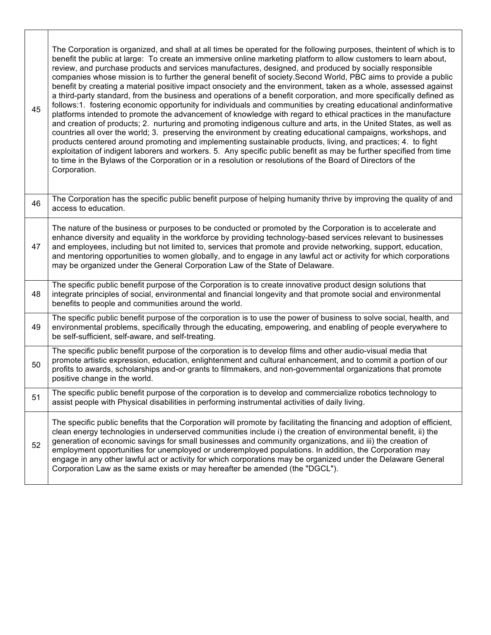| 45 | The Corporation is organized, and shall at all times be operated for the following purposes, theintent of which is to<br>benefit the public at large: To create an immersive online marketing platform to allow customers to learn about,<br>review, and purchase products and services manufactures, designed, and produced by socially responsible<br>companies whose mission is to further the general benefit of society. Second World, PBC aims to provide a public<br>benefit by creating a material positive impact onsociety and the environment, taken as a whole, assessed against<br>a third-party standard, from the business and operations of a benefit corporation, and more specifically defined as<br>follows:1. fostering economic opportunity for individuals and communities by creating educational andinformative<br>platforms intended to promote the advancement of knowledge with regard to ethical practices in the manufacture<br>and creation of products; 2. nurturing and promoting indigenous culture and arts, in the United States, as well as<br>countries all over the world; 3. preserving the environment by creating educational campaigns, workshops, and<br>products centered around promoting and implementing sustainable products, living, and practices; 4. to fight<br>exploitation of indigent laborers and workers. 5. Any specific public benefit as may be further specified from time<br>to time in the Bylaws of the Corporation or in a resolution or resolutions of the Board of Directors of the<br>Corporation. |
|----|------------------------------------------------------------------------------------------------------------------------------------------------------------------------------------------------------------------------------------------------------------------------------------------------------------------------------------------------------------------------------------------------------------------------------------------------------------------------------------------------------------------------------------------------------------------------------------------------------------------------------------------------------------------------------------------------------------------------------------------------------------------------------------------------------------------------------------------------------------------------------------------------------------------------------------------------------------------------------------------------------------------------------------------------------------------------------------------------------------------------------------------------------------------------------------------------------------------------------------------------------------------------------------------------------------------------------------------------------------------------------------------------------------------------------------------------------------------------------------------------------------------------------------------------------------------------|
| 46 | The Corporation has the specific public benefit purpose of helping humanity thrive by improving the quality of and<br>access to education.                                                                                                                                                                                                                                                                                                                                                                                                                                                                                                                                                                                                                                                                                                                                                                                                                                                                                                                                                                                                                                                                                                                                                                                                                                                                                                                                                                                                                             |
| 47 | The nature of the business or purposes to be conducted or promoted by the Corporation is to accelerate and<br>enhance diversity and equality in the workforce by providing technology-based services relevant to businesses<br>and employees, including but not limited to, services that promote and provide networking, support, education,<br>and mentoring opportunities to women globally, and to engage in any lawful act or activity for which corporations<br>may be organized under the General Corporation Law of the State of Delaware.                                                                                                                                                                                                                                                                                                                                                                                                                                                                                                                                                                                                                                                                                                                                                                                                                                                                                                                                                                                                                     |
| 48 | The specific public benefit purpose of the Corporation is to create innovative product design solutions that<br>integrate principles of social, environmental and financial longevity and that promote social and environmental<br>benefits to people and communities around the world.                                                                                                                                                                                                                                                                                                                                                                                                                                                                                                                                                                                                                                                                                                                                                                                                                                                                                                                                                                                                                                                                                                                                                                                                                                                                                |
| 49 | The specific public benefit purpose of the corporation is to use the power of business to solve social, health, and<br>environmental problems, specifically through the educating, empowering, and enabling of people everywhere to<br>be self-sufficient, self-aware, and self-treating.                                                                                                                                                                                                                                                                                                                                                                                                                                                                                                                                                                                                                                                                                                                                                                                                                                                                                                                                                                                                                                                                                                                                                                                                                                                                              |
| 50 | The specific public benefit purpose of the corporation is to develop films and other audio-visual media that<br>promote artistic expression, education, enlightenment and cultural enhancement, and to commit a portion of our<br>profits to awards, scholarships and-or grants to filmmakers, and non-governmental organizations that promote<br>positive change in the world.                                                                                                                                                                                                                                                                                                                                                                                                                                                                                                                                                                                                                                                                                                                                                                                                                                                                                                                                                                                                                                                                                                                                                                                        |
| 51 | The specific public benefit purpose of the corporation is to develop and commercialize robotics technology to<br>assist people with Physical disabilities in performing instrumental activities of daily living.                                                                                                                                                                                                                                                                                                                                                                                                                                                                                                                                                                                                                                                                                                                                                                                                                                                                                                                                                                                                                                                                                                                                                                                                                                                                                                                                                       |
| 52 | The specific public benefits that the Corporation will promote by facilitating the financing and adoption of efficient,<br>clean energy technologies in underserved communities include i) the creation of environmental benefit, ii) the<br>generation of economic savings for small businesses and community organizations, and iii) the creation of<br>employment opportunities for unemployed or underemployed populations. In addition, the Corporation may<br>engage in any other lawful act or activity for which corporations may be organized under the Delaware General<br>Corporation Law as the same exists or may hereafter be amended (the "DGCL").                                                                                                                                                                                                                                                                                                                                                                                                                                                                                                                                                                                                                                                                                                                                                                                                                                                                                                      |

 $\Gamma$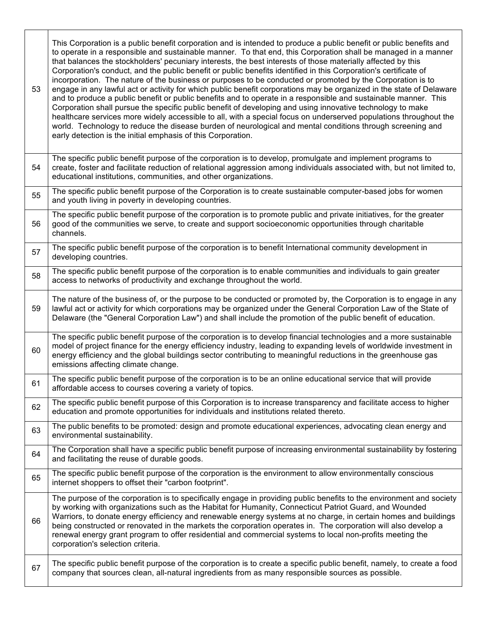| 53 | This Corporation is a public benefit corporation and is intended to produce a public benefit or public benefits and<br>to operate in a responsible and sustainable manner. To that end, this Corporation shall be managed in a manner<br>that balances the stockholders' pecuniary interests, the best interests of those materially affected by this<br>Corporation's conduct, and the public benefit or public benefits identified in this Corporation's certificate of<br>incorporation. The nature of the business or purposes to be conducted or promoted by the Corporation is to<br>engage in any lawful act or activity for which public benefit corporations may be organized in the state of Delaware<br>and to produce a public benefit or public benefits and to operate in a responsible and sustainable manner. This<br>Corporation shall pursue the specific public benefit of developing and using innovative technology to make<br>healthcare services more widely accessible to all, with a special focus on underserved populations throughout the<br>world. Technology to reduce the disease burden of neurological and mental conditions through screening and<br>early detection is the initial emphasis of this Corporation. |
|----|-----------------------------------------------------------------------------------------------------------------------------------------------------------------------------------------------------------------------------------------------------------------------------------------------------------------------------------------------------------------------------------------------------------------------------------------------------------------------------------------------------------------------------------------------------------------------------------------------------------------------------------------------------------------------------------------------------------------------------------------------------------------------------------------------------------------------------------------------------------------------------------------------------------------------------------------------------------------------------------------------------------------------------------------------------------------------------------------------------------------------------------------------------------------------------------------------------------------------------------------------------|
| 54 | The specific public benefit purpose of the corporation is to develop, promulgate and implement programs to<br>create, foster and facilitate reduction of relational aggression among individuals associated with, but not limited to,<br>educational institutions, communities, and other organizations.                                                                                                                                                                                                                                                                                                                                                                                                                                                                                                                                                                                                                                                                                                                                                                                                                                                                                                                                            |
| 55 | The specific public benefit purpose of the Corporation is to create sustainable computer-based jobs for women<br>and youth living in poverty in developing countries.                                                                                                                                                                                                                                                                                                                                                                                                                                                                                                                                                                                                                                                                                                                                                                                                                                                                                                                                                                                                                                                                               |
| 56 | The specific public benefit purpose of the corporation is to promote public and private initiatives, for the greater<br>good of the communities we serve, to create and support socioeconomic opportunities through charitable<br>channels.                                                                                                                                                                                                                                                                                                                                                                                                                                                                                                                                                                                                                                                                                                                                                                                                                                                                                                                                                                                                         |
| 57 | The specific public benefit purpose of the corporation is to benefit International community development in<br>developing countries.                                                                                                                                                                                                                                                                                                                                                                                                                                                                                                                                                                                                                                                                                                                                                                                                                                                                                                                                                                                                                                                                                                                |
| 58 | The specific public benefit purpose of the corporation is to enable communities and individuals to gain greater<br>access to networks of productivity and exchange throughout the world.                                                                                                                                                                                                                                                                                                                                                                                                                                                                                                                                                                                                                                                                                                                                                                                                                                                                                                                                                                                                                                                            |
| 59 | The nature of the business of, or the purpose to be conducted or promoted by, the Corporation is to engage in any<br>lawful act or activity for which corporations may be organized under the General Corporation Law of the State of<br>Delaware (the "General Corporation Law") and shall include the promotion of the public benefit of education.                                                                                                                                                                                                                                                                                                                                                                                                                                                                                                                                                                                                                                                                                                                                                                                                                                                                                               |
| 60 | The specific public benefit purpose of the corporation is to develop financial technologies and a more sustainable<br>model of project finance for the energy efficiency industry, leading to expanding levels of worldwide investment in<br>energy efficiency and the global buildings sector contributing to meaningful reductions in the greenhouse gas<br>emissions affecting climate change.                                                                                                                                                                                                                                                                                                                                                                                                                                                                                                                                                                                                                                                                                                                                                                                                                                                   |
| 61 | The specific public benefit purpose of the corporation is to be an online educational service that will provide<br>affordable access to courses covering a variety of topics.                                                                                                                                                                                                                                                                                                                                                                                                                                                                                                                                                                                                                                                                                                                                                                                                                                                                                                                                                                                                                                                                       |
| 62 | The specific public benefit purpose of this Corporation is to increase transparency and facilitate access to higher<br>education and promote opportunities for individuals and institutions related thereto.                                                                                                                                                                                                                                                                                                                                                                                                                                                                                                                                                                                                                                                                                                                                                                                                                                                                                                                                                                                                                                        |
| 63 | The public benefits to be promoted: design and promote educational experiences, advocating clean energy and<br>environmental sustainability.                                                                                                                                                                                                                                                                                                                                                                                                                                                                                                                                                                                                                                                                                                                                                                                                                                                                                                                                                                                                                                                                                                        |
| 64 | The Corporation shall have a specific public benefit purpose of increasing environmental sustainability by fostering<br>and facilitating the reuse of durable goods.                                                                                                                                                                                                                                                                                                                                                                                                                                                                                                                                                                                                                                                                                                                                                                                                                                                                                                                                                                                                                                                                                |
| 65 | The specific public benefit purpose of the corporation is the environment to allow environmentally conscious<br>internet shoppers to offset their "carbon footprint".                                                                                                                                                                                                                                                                                                                                                                                                                                                                                                                                                                                                                                                                                                                                                                                                                                                                                                                                                                                                                                                                               |
| 66 | The purpose of the corporation is to specifically engage in providing public benefits to the environment and society<br>by working with organizations such as the Habitat for Humanity, Connecticut Patriot Guard, and Wounded<br>Warriors, to donate energy efficiency and renewable energy systems at no charge, in certain homes and buildings<br>being constructed or renovated in the markets the corporation operates in. The corporation will also develop a<br>renewal energy grant program to offer residential and commercial systems to local non-profits meeting the<br>corporation's selection criteria.                                                                                                                                                                                                                                                                                                                                                                                                                                                                                                                                                                                                                               |
| 67 | The specific public benefit purpose of the corporation is to create a specific public benefit, namely, to create a food<br>company that sources clean, all-natural ingredients from as many responsible sources as possible.                                                                                                                                                                                                                                                                                                                                                                                                                                                                                                                                                                                                                                                                                                                                                                                                                                                                                                                                                                                                                        |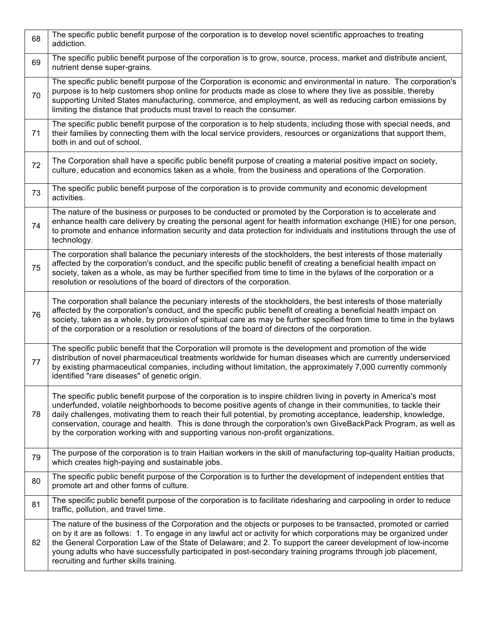| 68 | The specific public benefit purpose of the corporation is to develop novel scientific approaches to treating<br>addiction.                                                                                                                                                                                                                                                                                                                                                                                                                                  |
|----|-------------------------------------------------------------------------------------------------------------------------------------------------------------------------------------------------------------------------------------------------------------------------------------------------------------------------------------------------------------------------------------------------------------------------------------------------------------------------------------------------------------------------------------------------------------|
| 69 | The specific public benefit purpose of the corporation is to grow, source, process, market and distribute ancient,<br>nutrient dense super-grains.                                                                                                                                                                                                                                                                                                                                                                                                          |
| 70 | The specific public benefit purpose of the Corporation is economic and environmental in nature. The corporation's<br>purpose is to help customers shop online for products made as close to where they live as possible, thereby<br>supporting United States manufacturing, commerce, and employment, as well as reducing carbon emissions by<br>limiting the distance that products must travel to reach the consumer.                                                                                                                                     |
| 71 | The specific public benefit purpose of the corporation is to help students, including those with special needs, and<br>their families by connecting them with the local service providers, resources or organizations that support them,<br>both in and out of school.                                                                                                                                                                                                                                                                                      |
| 72 | The Corporation shall have a specific public benefit purpose of creating a material positive impact on society,<br>culture, education and economics taken as a whole, from the business and operations of the Corporation.                                                                                                                                                                                                                                                                                                                                  |
| 73 | The specific public benefit purpose of the corporation is to provide community and economic development<br>activities.                                                                                                                                                                                                                                                                                                                                                                                                                                      |
| 74 | The nature of the business or purposes to be conducted or promoted by the Corporation is to accelerate and<br>enhance health care delivery by creating the personal agent for health information exchange (HIE) for one person,<br>to promote and enhance information security and data protection for individuals and institutions through the use of<br>technology.                                                                                                                                                                                       |
| 75 | The corporation shall balance the pecuniary interests of the stockholders, the best interests of those materially<br>affected by the corporation's conduct, and the specific public benefit of creating a beneficial health impact on<br>society, taken as a whole, as may be further specified from time to time in the bylaws of the corporation or a<br>resolution or resolutions of the board of directors of the corporation.                                                                                                                          |
| 76 | The corporation shall balance the pecuniary interests of the stockholders, the best interests of those materially<br>affected by the corporation's conduct, and the specific public benefit of creating a beneficial health impact on<br>society, taken as a whole, by provision of spiritual care as may be further specified from time to time in the bylaws<br>of the corporation or a resolution or resolutions of the board of directors of the corporation.                                                                                           |
| 77 | The specific public benefit that the Corporation will promote is the development and promotion of the wide<br>distribution of novel pharmaceutical treatments worldwide for human diseases which are currently underserviced<br>by existing pharmaceutical companies, including without limitation, the approximately 7,000 currently commonly<br>identified "rare diseases" of genetic origin.                                                                                                                                                             |
| 78 | The specific public benefit purpose of the corporation is to inspire children living in poverty in America's most<br>underfunded, volatile neighborhoods to become positive agents of change in their communities, to tackle their<br>daily challenges, motivating them to reach their full potential, by promoting acceptance, leadership, knowledge,<br>conservation, courage and health. This is done through the corporation's own GiveBackPack Program, as well as<br>by the corporation working with and supporting various non-profit organizations. |
| 79 | The purpose of the corporation is to train Haitian workers in the skill of manufacturing top-quality Haitian products,<br>which creates high-paying and sustainable jobs.                                                                                                                                                                                                                                                                                                                                                                                   |
| 80 | The specific public benefit purpose of the Corporation is to further the development of independent entities that<br>promote art and other forms of culture.                                                                                                                                                                                                                                                                                                                                                                                                |
| 81 | The specific public benefit purpose of the corporation is to facilitate ridesharing and carpooling in order to reduce<br>traffic, pollution, and travel time.                                                                                                                                                                                                                                                                                                                                                                                               |
| 82 | The nature of the business of the Corporation and the objects or purposes to be transacted, promoted or carried<br>on by it are as follows: 1. To engage in any lawful act or activity for which corporations may be organized under<br>the General Corporation Law of the State of Delaware; and 2. To support the career development of low-income<br>young adults who have successfully participated in post-secondary training programs through job placement,<br>recruiting and further skills training.                                               |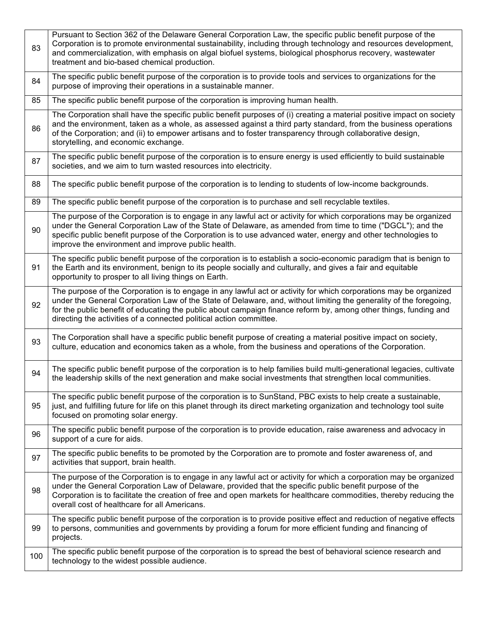| 83  | Pursuant to Section 362 of the Delaware General Corporation Law, the specific public benefit purpose of the<br>Corporation is to promote environmental sustainability, including through technology and resources development,<br>and commercialization, with emphasis on algal biofuel systems, biological phosphorus recovery, wastewater<br>treatment and bio-based chemical production.                                        |
|-----|------------------------------------------------------------------------------------------------------------------------------------------------------------------------------------------------------------------------------------------------------------------------------------------------------------------------------------------------------------------------------------------------------------------------------------|
| 84  | The specific public benefit purpose of the corporation is to provide tools and services to organizations for the<br>purpose of improving their operations in a sustainable manner.                                                                                                                                                                                                                                                 |
| 85  | The specific public benefit purpose of the corporation is improving human health.                                                                                                                                                                                                                                                                                                                                                  |
| 86  | The Corporation shall have the specific public benefit purposes of (i) creating a material positive impact on society<br>and the environment, taken as a whole, as assessed against a third party standard, from the business operations<br>of the Corporation; and (ii) to empower artisans and to foster transparency through collaborative design,<br>storytelling, and economic exchange.                                      |
| 87  | The specific public benefit purpose of the corporation is to ensure energy is used efficiently to build sustainable<br>societies, and we aim to turn wasted resources into electricity.                                                                                                                                                                                                                                            |
| 88  | The specific public benefit purpose of the corporation is to lending to students of low-income backgrounds.                                                                                                                                                                                                                                                                                                                        |
| 89  | The specific public benefit purpose of the corporation is to purchase and sell recyclable textiles.                                                                                                                                                                                                                                                                                                                                |
| 90  | The purpose of the Corporation is to engage in any lawful act or activity for which corporations may be organized<br>under the General Corporation Law of the State of Delaware, as amended from time to time ("DGCL"); and the<br>specific public benefit purpose of the Corporation is to use advanced water, energy and other technologies to<br>improve the environment and improve public health.                             |
| 91  | The specific public benefit purpose of the corporation is to establish a socio-economic paradigm that is benign to<br>the Earth and its environment, benign to its people socially and culturally, and gives a fair and equitable<br>opportunity to prosper to all living things on Earth.                                                                                                                                         |
| 92  | The purpose of the Corporation is to engage in any lawful act or activity for which corporations may be organized<br>under the General Corporation Law of the State of Delaware, and, without limiting the generality of the foregoing,<br>for the public benefit of educating the public about campaign finance reform by, among other things, funding and<br>directing the activities of a connected political action committee. |
| 93  | The Corporation shall have a specific public benefit purpose of creating a material positive impact on society,<br>culture, education and economics taken as a whole, from the business and operations of the Corporation.                                                                                                                                                                                                         |
| 94  | The specific public benefit purpose of the corporation is to help families build multi-generational legacies, cultivate<br>the leadership skills of the next generation and make social investments that strengthen local communities.                                                                                                                                                                                             |
| 95  | The specific public benefit purpose of the corporation is to SunStand, PBC exists to help create a sustainable,<br>just, and fulfilling future for life on this planet through its direct marketing organization and technology tool suite<br>focused on promoting solar energy.                                                                                                                                                   |
| 96  | The specific public benefit purpose of the corporation is to provide education, raise awareness and advocacy in<br>support of a cure for aids.                                                                                                                                                                                                                                                                                     |
| 97  | The specific public benefits to be promoted by the Corporation are to promote and foster awareness of, and<br>activities that support, brain health.                                                                                                                                                                                                                                                                               |
| 98  | The purpose of the Corporation is to engage in any lawful act or activity for which a corporation may be organized<br>under the General Corporation Law of Delaware, provided that the specific public benefit purpose of the<br>Corporation is to facilitate the creation of free and open markets for healthcare commodities, thereby reducing the<br>overall cost of healthcare for all Americans.                              |
| 99  | The specific public benefit purpose of the corporation is to provide positive effect and reduction of negative effects<br>to persons, communities and governments by providing a forum for more efficient funding and financing of<br>projects.                                                                                                                                                                                    |
| 100 | The specific public benefit purpose of the corporation is to spread the best of behavioral science research and<br>technology to the widest possible audience.                                                                                                                                                                                                                                                                     |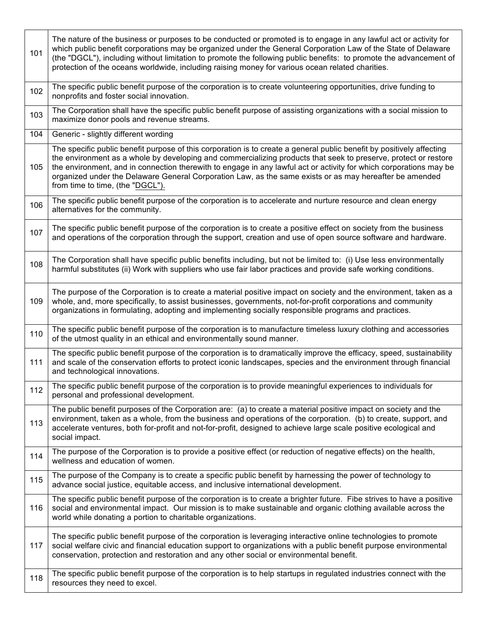| 101 | The nature of the business or purposes to be conducted or promoted is to engage in any lawful act or activity for<br>which public benefit corporations may be organized under the General Corporation Law of the State of Delaware<br>(the "DGCL"), including without limitation to promote the following public benefits: to promote the advancement of<br>protection of the oceans worldwide, including raising money for various ocean related charities.                                                  |
|-----|---------------------------------------------------------------------------------------------------------------------------------------------------------------------------------------------------------------------------------------------------------------------------------------------------------------------------------------------------------------------------------------------------------------------------------------------------------------------------------------------------------------|
| 102 | The specific public benefit purpose of the corporation is to create volunteering opportunities, drive funding to<br>nonprofits and foster social innovation.                                                                                                                                                                                                                                                                                                                                                  |
| 103 | The Corporation shall have the specific public benefit purpose of assisting organizations with a social mission to<br>maximize donor pools and revenue streams.                                                                                                                                                                                                                                                                                                                                               |
| 104 | Generic - slightly different wording                                                                                                                                                                                                                                                                                                                                                                                                                                                                          |
| 105 | The specific public benefit purpose of this corporation is to create a general public benefit by positively affecting<br>the environment as a whole by developing and commercializing products that seek to preserve, protect or restore<br>the environment, and in connection therewith to engage in any lawful act or activity for which corporations may be<br>organized under the Delaware General Corporation Law, as the same exists or as may hereafter be amended<br>from time to time, (the "DGCL"). |
| 106 | The specific public benefit purpose of the corporation is to accelerate and nurture resource and clean energy<br>alternatives for the community.                                                                                                                                                                                                                                                                                                                                                              |
| 107 | The specific public benefit purpose of the corporation is to create a positive effect on society from the business<br>and operations of the corporation through the support, creation and use of open source software and hardware.                                                                                                                                                                                                                                                                           |
| 108 | The Corporation shall have specific public benefits including, but not be limited to: (i) Use less environmentally<br>harmful substitutes (ii) Work with suppliers who use fair labor practices and provide safe working conditions.                                                                                                                                                                                                                                                                          |
| 109 | The purpose of the Corporation is to create a material positive impact on society and the environment, taken as a<br>whole, and, more specifically, to assist businesses, governments, not-for-profit corporations and community<br>organizations in formulating, adopting and implementing socially responsible programs and practices.                                                                                                                                                                      |
| 110 | The specific public benefit purpose of the corporation is to manufacture timeless luxury clothing and accessories<br>of the utmost quality in an ethical and environmentally sound manner.                                                                                                                                                                                                                                                                                                                    |
| 111 | The specific public benefit purpose of the corporation is to dramatically improve the efficacy, speed, sustainability<br>and scale of the conservation efforts to protect iconic landscapes, species and the environment through financial<br>and technological innovations.                                                                                                                                                                                                                                  |
| 112 | The specific public benefit purpose of the corporation is to provide meaningful experiences to individuals for<br>personal and professional development.                                                                                                                                                                                                                                                                                                                                                      |
| 113 | The public benefit purposes of the Corporation are: (a) to create a material positive impact on society and the<br>environment, taken as a whole, from the business and operations of the corporation. (b) to create, support, and<br>accelerate ventures, both for-profit and not-for-profit, designed to achieve large scale positive ecological and<br>social impact.                                                                                                                                      |
| 114 | The purpose of the Corporation is to provide a positive effect (or reduction of negative effects) on the health,<br>wellness and education of women.                                                                                                                                                                                                                                                                                                                                                          |
| 115 | The purpose of the Company is to create a specific public benefit by harnessing the power of technology to<br>advance social justice, equitable access, and inclusive international development.                                                                                                                                                                                                                                                                                                              |
| 116 | The specific public benefit purpose of the corporation is to create a brighter future. Fibe strives to have a positive<br>social and environmental impact. Our mission is to make sustainable and organic clothing available across the<br>world while donating a portion to charitable organizations.                                                                                                                                                                                                        |
| 117 | The specific public benefit purpose of the corporation is leveraging interactive online technologies to promote<br>social welfare civic and financial education support to organizations with a public benefit purpose environmental<br>conservation, protection and restoration and any other social or environmental benefit.                                                                                                                                                                               |
| 118 | The specific public benefit purpose of the corporation is to help startups in regulated industries connect with the<br>resources they need to excel.                                                                                                                                                                                                                                                                                                                                                          |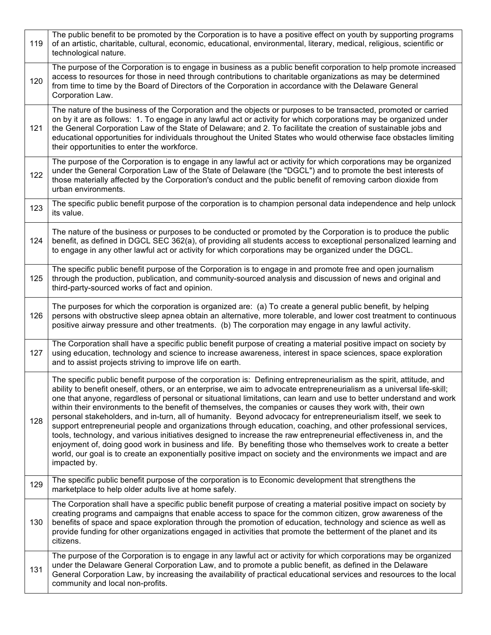| 119 | The public benefit to be promoted by the Corporation is to have a positive effect on youth by supporting programs<br>of an artistic, charitable, cultural, economic, educational, environmental, literary, medical, religious, scientific or<br>technological nature.                                                                                                                                                                                                                                                                                                                                                                                                                                                                                                                                                                                                                                                                                                                                                                                                                           |
|-----|-------------------------------------------------------------------------------------------------------------------------------------------------------------------------------------------------------------------------------------------------------------------------------------------------------------------------------------------------------------------------------------------------------------------------------------------------------------------------------------------------------------------------------------------------------------------------------------------------------------------------------------------------------------------------------------------------------------------------------------------------------------------------------------------------------------------------------------------------------------------------------------------------------------------------------------------------------------------------------------------------------------------------------------------------------------------------------------------------|
| 120 | The purpose of the Corporation is to engage in business as a public benefit corporation to help promote increased<br>access to resources for those in need through contributions to charitable organizations as may be determined<br>from time to time by the Board of Directors of the Corporation in accordance with the Delaware General<br>Corporation Law.                                                                                                                                                                                                                                                                                                                                                                                                                                                                                                                                                                                                                                                                                                                                 |
| 121 | The nature of the business of the Corporation and the objects or purposes to be transacted, promoted or carried<br>on by it are as follows: 1. To engage in any lawful act or activity for which corporations may be organized under<br>the General Corporation Law of the State of Delaware; and 2. To facilitate the creation of sustainable jobs and<br>educational opportunities for individuals throughout the United States who would otherwise face obstacles limiting<br>their opportunities to enter the workforce.                                                                                                                                                                                                                                                                                                                                                                                                                                                                                                                                                                    |
| 122 | The purpose of the Corporation is to engage in any lawful act or activity for which corporations may be organized<br>under the General Corporation Law of the State of Delaware (the "DGCL") and to promote the best interests of<br>those materially affected by the Corporation's conduct and the public benefit of removing carbon dioxide from<br>urban environments.                                                                                                                                                                                                                                                                                                                                                                                                                                                                                                                                                                                                                                                                                                                       |
| 123 | The specific public benefit purpose of the corporation is to champion personal data independence and help unlock<br>its value.                                                                                                                                                                                                                                                                                                                                                                                                                                                                                                                                                                                                                                                                                                                                                                                                                                                                                                                                                                  |
| 124 | The nature of the business or purposes to be conducted or promoted by the Corporation is to produce the public<br>benefit, as defined in DGCL SEC 362(a), of providing all students access to exceptional personalized learning and<br>to engage in any other lawful act or activity for which corporations may be organized under the DGCL.                                                                                                                                                                                                                                                                                                                                                                                                                                                                                                                                                                                                                                                                                                                                                    |
| 125 | The specific public benefit purpose of the Corporation is to engage in and promote free and open journalism<br>through the production, publication, and community-sourced analysis and discussion of news and original and<br>third-party-sourced works of fact and opinion.                                                                                                                                                                                                                                                                                                                                                                                                                                                                                                                                                                                                                                                                                                                                                                                                                    |
| 126 | The purposes for which the corporation is organized are: (a) To create a general public benefit, by helping<br>persons with obstructive sleep apnea obtain an alternative, more tolerable, and lower cost treatment to continuous<br>positive airway pressure and other treatments. (b) The corporation may engage in any lawful activity.                                                                                                                                                                                                                                                                                                                                                                                                                                                                                                                                                                                                                                                                                                                                                      |
| 127 | The Corporation shall have a specific public benefit purpose of creating a material positive impact on society by<br>using education, technology and science to increase awareness, interest in space sciences, space exploration<br>and to assist projects striving to improve life on earth.                                                                                                                                                                                                                                                                                                                                                                                                                                                                                                                                                                                                                                                                                                                                                                                                  |
| 128 | The specific public benefit purpose of the corporation is: Defining entrepreneurialism as the spirit, attitude, and<br>ability to benefit oneself, others, or an enterprise, we aim to advocate entrepreneurialism as a universal life-skill;<br>one that anyone, regardless of personal or situational limitations, can learn and use to better understand and work<br>within their environments to the benefit of themselves, the companies or causes they work with, their own<br>personal stakeholders, and in-turn, all of humanity. Beyond advocacy for entrepreneurialism itself, we seek to<br>support entrepreneurial people and organizations through education, coaching, and other professional services,<br>tools, technology, and various initiatives designed to increase the raw entrepreneurial effectiveness in, and the<br>enjoyment of, doing good work in business and life. By benefiting those who themselves work to create a better<br>world, our goal is to create an exponentially positive impact on society and the environments we impact and are<br>impacted by. |
| 129 | The specific public benefit purpose of the corporation is to Economic development that strengthens the<br>marketplace to help older adults live at home safely.                                                                                                                                                                                                                                                                                                                                                                                                                                                                                                                                                                                                                                                                                                                                                                                                                                                                                                                                 |
| 130 | The Corporation shall have a specific public benefit purpose of creating a material positive impact on society by<br>creating programs and campaigns that enable access to space for the common citizen, grow awareness of the<br>benefits of space and space exploration through the promotion of education, technology and science as well as<br>provide funding for other organizations engaged in activities that promote the betterment of the planet and its<br>citizens.                                                                                                                                                                                                                                                                                                                                                                                                                                                                                                                                                                                                                 |
| 131 | The purpose of the Corporation is to engage in any lawful act or activity for which corporations may be organized<br>under the Delaware General Corporation Law, and to promote a public benefit, as defined in the Delaware<br>General Corporation Law, by increasing the availability of practical educational services and resources to the local<br>community and local non-profits.                                                                                                                                                                                                                                                                                                                                                                                                                                                                                                                                                                                                                                                                                                        |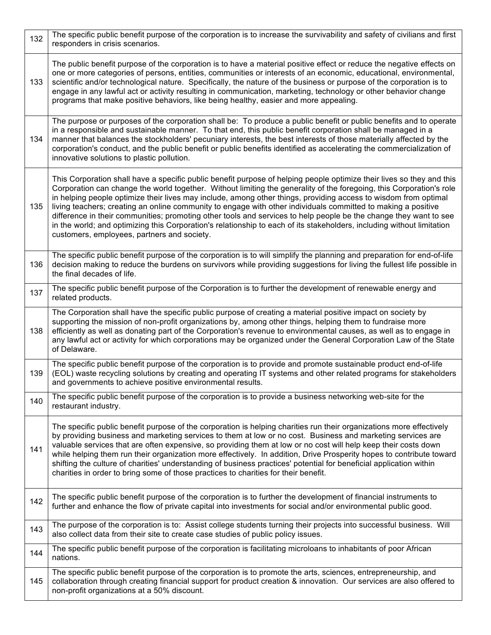| 132 | The specific public benefit purpose of the corporation is to increase the survivability and safety of civilians and first<br>responders in crisis scenarios.                                                                                                                                                                                                                                                                                                                                                                                                                                                                                                                                                                                                                    |
|-----|---------------------------------------------------------------------------------------------------------------------------------------------------------------------------------------------------------------------------------------------------------------------------------------------------------------------------------------------------------------------------------------------------------------------------------------------------------------------------------------------------------------------------------------------------------------------------------------------------------------------------------------------------------------------------------------------------------------------------------------------------------------------------------|
| 133 | The public benefit purpose of the corporation is to have a material positive effect or reduce the negative effects on<br>one or more categories of persons, entities, communities or interests of an economic, educational, environmental,<br>scientific and/or technological nature. Specifically, the nature of the business or purpose of the corporation is to<br>engage in any lawful act or activity resulting in communication, marketing, technology or other behavior change<br>programs that make positive behaviors, like being healthy, easier and more appealing.                                                                                                                                                                                                  |
| 134 | The purpose or purposes of the corporation shall be: To produce a public benefit or public benefits and to operate<br>in a responsible and sustainable manner. To that end, this public benefit corporation shall be managed in a<br>manner that balances the stockholders' pecuniary interests, the best interests of those materially affected by the<br>corporation's conduct, and the public benefit or public benefits identified as accelerating the commercialization of<br>innovative solutions to plastic pollution.                                                                                                                                                                                                                                                   |
| 135 | This Corporation shall have a specific public benefit purpose of helping people optimize their lives so they and this<br>Corporation can change the world together. Without limiting the generality of the foregoing, this Corporation's role<br>in helping people optimize their lives may include, among other things, providing access to wisdom from optimal<br>living teachers; creating an online community to engage with other individuals committed to making a positive<br>difference in their communities; promoting other tools and services to help people be the change they want to see<br>in the world; and optimizing this Corporation's relationship to each of its stakeholders, including without limitation<br>customers, employees, partners and society. |
| 136 | The specific public benefit purpose of the corporation is to will simplify the planning and preparation for end-of-life<br>decision making to reduce the burdens on survivors while providing suggestions for living the fullest life possible in<br>the final decades of life.                                                                                                                                                                                                                                                                                                                                                                                                                                                                                                 |
| 137 | The specific public benefit purpose of the Corporation is to further the development of renewable energy and<br>related products.                                                                                                                                                                                                                                                                                                                                                                                                                                                                                                                                                                                                                                               |
| 138 | The Corporation shall have the specific public purpose of creating a material positive impact on society by<br>supporting the mission of non-profit organizations by, among other things, helping them to fundraise more<br>efficiently as well as donating part of the Corporation's revenue to environmental causes, as well as to engage in<br>any lawful act or activity for which corporations may be organized under the General Corporation Law of the State<br>of Delaware.                                                                                                                                                                                                                                                                                             |
| 139 | The specific public benefit purpose of the corporation is to provide and promote sustainable product end-of-life<br>(EOL) waste recycling solutions by creating and operating IT systems and other related programs for stakeholders<br>and governments to achieve positive environmental results.                                                                                                                                                                                                                                                                                                                                                                                                                                                                              |
| 140 | The specific public benefit purpose of the corporation is to provide a business networking web-site for the<br>restaurant industry.                                                                                                                                                                                                                                                                                                                                                                                                                                                                                                                                                                                                                                             |
| 141 | The specific public benefit purpose of the corporation is helping charities run their organizations more effectively<br>by providing business and marketing services to them at low or no cost. Business and marketing services are<br>valuable services that are often expensive, so providing them at low or no cost will help keep their costs down<br>while helping them run their organization more effectively. In addition, Drive Prosperity hopes to contribute toward<br>shifting the culture of charities' understanding of business practices' potential for beneficial application within<br>charities in order to bring some of those practices to charities for their benefit.                                                                                    |
| 142 | The specific public benefit purpose of the corporation is to further the development of financial instruments to<br>further and enhance the flow of private capital into investments for social and/or environmental public good.                                                                                                                                                                                                                                                                                                                                                                                                                                                                                                                                               |
| 143 | The purpose of the corporation is to: Assist college students turning their projects into successful business. Will<br>also collect data from their site to create case studies of public policy issues.                                                                                                                                                                                                                                                                                                                                                                                                                                                                                                                                                                        |
| 144 | The specific public benefit purpose of the corporation is facilitating microloans to inhabitants of poor African<br>nations.                                                                                                                                                                                                                                                                                                                                                                                                                                                                                                                                                                                                                                                    |
| 145 | The specific public benefit purpose of the corporation is to promote the arts, sciences, entrepreneurship, and<br>collaboration through creating financial support for product creation & innovation. Our services are also offered to<br>non-profit organizations at a 50% discount.                                                                                                                                                                                                                                                                                                                                                                                                                                                                                           |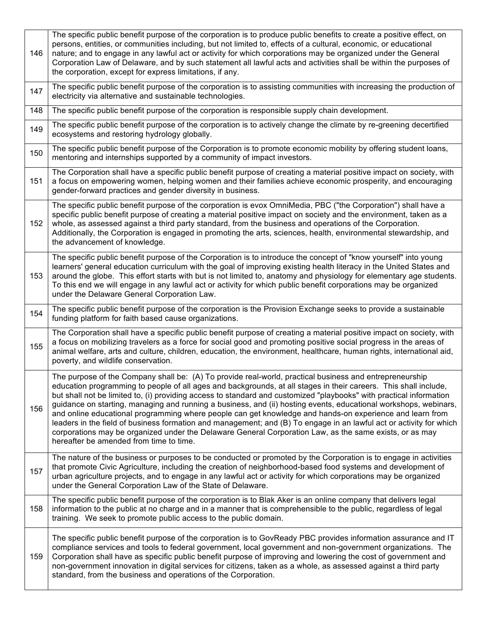| 146 | The specific public benefit purpose of the corporation is to produce public benefits to create a positive effect, on<br>persons, entities, or communities including, but not limited to, effects of a cultural, economic, or educational<br>nature; and to engage in any lawful act or activity for which corporations may be organized under the General<br>Corporation Law of Delaware, and by such statement all lawful acts and activities shall be within the purposes of<br>the corporation, except for express limitations, if any.                                                                                                                                                                                                                                                                                                                      |
|-----|-----------------------------------------------------------------------------------------------------------------------------------------------------------------------------------------------------------------------------------------------------------------------------------------------------------------------------------------------------------------------------------------------------------------------------------------------------------------------------------------------------------------------------------------------------------------------------------------------------------------------------------------------------------------------------------------------------------------------------------------------------------------------------------------------------------------------------------------------------------------|
| 147 | The specific public benefit purpose of the corporation is to assisting communities with increasing the production of<br>electricity via alternative and sustainable technologies.                                                                                                                                                                                                                                                                                                                                                                                                                                                                                                                                                                                                                                                                               |
| 148 | The specific public benefit purpose of the corporation is responsible supply chain development.                                                                                                                                                                                                                                                                                                                                                                                                                                                                                                                                                                                                                                                                                                                                                                 |
| 149 | The specific public benefit purpose of the corporation is to actively change the climate by re-greening decertified<br>ecosystems and restoring hydrology globally.                                                                                                                                                                                                                                                                                                                                                                                                                                                                                                                                                                                                                                                                                             |
| 150 | The specific public benefit purpose of the Corporation is to promote economic mobility by offering student loans,<br>mentoring and internships supported by a community of impact investors.                                                                                                                                                                                                                                                                                                                                                                                                                                                                                                                                                                                                                                                                    |
| 151 | The Corporation shall have a specific public benefit purpose of creating a material positive impact on society, with<br>a focus on empowering women, helping women and their families achieve economic prosperity, and encouraging<br>gender-forward practices and gender diversity in business.                                                                                                                                                                                                                                                                                                                                                                                                                                                                                                                                                                |
| 152 | The specific public benefit purpose of the corporation is evox OmniMedia, PBC ("the Corporation") shall have a<br>specific public benefit purpose of creating a material positive impact on society and the environment, taken as a<br>whole, as assessed against a third party standard, from the business and operations of the Corporation.<br>Additionally, the Corporation is engaged in promoting the arts, sciences, health, environmental stewardship, and<br>the advancement of knowledge.                                                                                                                                                                                                                                                                                                                                                             |
| 153 | The specific public benefit purpose of the Corporation is to introduce the concept of "know yourself" into young<br>learners' general education curriculum with the goal of improving existing health literacy in the United States and<br>around the globe. This effort starts with but is not limited to, anatomy and physiology for elementary age students.<br>To this end we will engage in any lawful act or activity for which public benefit corporations may be organized<br>under the Delaware General Corporation Law.                                                                                                                                                                                                                                                                                                                               |
| 154 | The specific public benefit purpose of the corporation is the Provision Exchange seeks to provide a sustainable<br>funding platform for faith based cause organizations.                                                                                                                                                                                                                                                                                                                                                                                                                                                                                                                                                                                                                                                                                        |
| 155 | The Corporation shall have a specific public benefit purpose of creating a material positive impact on society, with<br>a focus on mobilizing travelers as a force for social good and promoting positive social progress in the areas of<br>animal welfare, arts and culture, children, education, the environment, healthcare, human rights, international aid,<br>poverty, and wildlife conservation.                                                                                                                                                                                                                                                                                                                                                                                                                                                        |
| 156 | The purpose of the Company shall be: (A) To provide real-world, practical business and entrepreneurship<br>education programming to people of all ages and backgrounds, at all stages in their careers. This shall include,<br>but shall not be limited to, (i) providing access to standard and customized "playbooks" with practical information<br>guidance on starting, managing and running a business, and (ii) hosting events, educational workshops, webinars,<br>and online educational programming where people can get knowledge and hands-on experience and learn from<br>leaders in the field of business formation and management; and (B) To engage in an lawful act or activity for which<br>corporations may be organized under the Delaware General Corporation Law, as the same exists, or as may<br>hereafter be amended from time to time. |
| 157 | The nature of the business or purposes to be conducted or promoted by the Corporation is to engage in activities<br>that promote Civic Agriculture, including the creation of neighborhood-based food systems and development of<br>urban agriculture projects, and to engage in any lawful act or activity for which corporations may be organized<br>under the General Corporation Law of the State of Delaware.                                                                                                                                                                                                                                                                                                                                                                                                                                              |
| 158 | The specific public benefit purpose of the corporation is to Blak Aker is an online company that delivers legal<br>information to the public at no charge and in a manner that is comprehensible to the public, regardless of legal<br>training. We seek to promote public access to the public domain.                                                                                                                                                                                                                                                                                                                                                                                                                                                                                                                                                         |
| 159 | The specific public benefit purpose of the corporation is to GovReady PBC provides information assurance and IT<br>compliance services and tools to federal government, local government and non-government organizations. The<br>Corporation shall have as specific public benefit purpose of improving and lowering the cost of government and<br>non-government innovation in digital services for citizens, taken as a whole, as assessed against a third party<br>standard, from the business and operations of the Corporation.                                                                                                                                                                                                                                                                                                                           |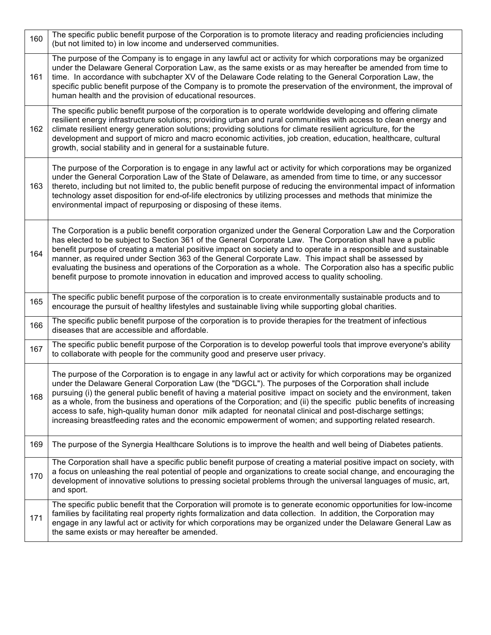| 160 | The specific public benefit purpose of the Corporation is to promote literacy and reading proficiencies including<br>(but not limited to) in low income and underserved communities.                                                                                                                                                                                                                                                                                                                                                                                                                                                                                                            |
|-----|-------------------------------------------------------------------------------------------------------------------------------------------------------------------------------------------------------------------------------------------------------------------------------------------------------------------------------------------------------------------------------------------------------------------------------------------------------------------------------------------------------------------------------------------------------------------------------------------------------------------------------------------------------------------------------------------------|
| 161 | The purpose of the Company is to engage in any lawful act or activity for which corporations may be organized<br>under the Delaware General Corporation Law, as the same exists or as may hereafter be amended from time to<br>time. In accordance with subchapter XV of the Delaware Code relating to the General Corporation Law, the<br>specific public benefit purpose of the Company is to promote the preservation of the environment, the improval of<br>human health and the provision of educational resources.                                                                                                                                                                        |
| 162 | The specific public benefit purpose of the corporation is to operate worldwide developing and offering climate<br>resilient energy infrastructure solutions; providing urban and rural communities with access to clean energy and<br>climate resilient energy generation solutions; providing solutions for climate resilient agriculture, for the<br>development and support of micro and macro economic activities, job creation, education, healthcare, cultural<br>growth, social stability and in general for a sustainable future.                                                                                                                                                       |
| 163 | The purpose of the Corporation is to engage in any lawful act or activity for which corporations may be organized<br>under the General Corporation Law of the State of Delaware, as amended from time to time, or any successor<br>thereto, including but not limited to, the public benefit purpose of reducing the environmental impact of information<br>technology asset disposition for end-of-life electronics by utilizing processes and methods that minimize the<br>environmental impact of repurposing or disposing of these items.                                                                                                                                                   |
| 164 | The Corporation is a public benefit corporation organized under the General Corporation Law and the Corporation<br>has elected to be subject to Section 361 of the General Corporate Law. The Corporation shall have a public<br>benefit purpose of creating a material positive impact on society and to operate in a responsible and sustainable<br>manner, as required under Section 363 of the General Corporate Law. This impact shall be assessed by<br>evaluating the business and operations of the Corporation as a whole. The Corporation also has a specific public<br>benefit purpose to promote innovation in education and improved access to quality schooling.                  |
| 165 | The specific public benefit purpose of the corporation is to create environmentally sustainable products and to<br>encourage the pursuit of healthy lifestyles and sustainable living while supporting global charities.                                                                                                                                                                                                                                                                                                                                                                                                                                                                        |
| 166 | The specific public benefit purpose of the corporation is to provide therapies for the treatment of infectious<br>diseases that are accessible and affordable.                                                                                                                                                                                                                                                                                                                                                                                                                                                                                                                                  |
| 167 | The specific public benefit purpose of the Corporation is to develop powerful tools that improve everyone's ability<br>to collaborate with people for the community good and preserve user privacy.                                                                                                                                                                                                                                                                                                                                                                                                                                                                                             |
| 168 | The purpose of the Corporation is to engage in any lawful act or activity for which corporations may be organized<br>under the Delaware General Corporation Law (the "DGCL"). The purposes of the Corporation shall include<br>pursuing (i) the general public benefit of having a material positive impact on society and the environment, taken<br>as a whole, from the business and operations of the Corporation; and (ii) the specific public benefits of increasing<br>access to safe, high-quality human donor milk adapted for neonatal clinical and post-discharge settings;<br>increasing breastfeeding rates and the economic empowerment of women; and supporting related research. |
| 169 | The purpose of the Synergia Healthcare Solutions is to improve the health and well being of Diabetes patients.                                                                                                                                                                                                                                                                                                                                                                                                                                                                                                                                                                                  |
| 170 | The Corporation shall have a specific public benefit purpose of creating a material positive impact on society, with<br>a focus on unleashing the real potential of people and organizations to create social change, and encouraging the<br>development of innovative solutions to pressing societal problems through the universal languages of music, art,<br>and sport.                                                                                                                                                                                                                                                                                                                     |
| 171 | The specific public benefit that the Corporation will promote is to generate economic opportunities for low-income<br>families by facilitating real property rights formalization and data collection. In addition, the Corporation may<br>engage in any lawful act or activity for which corporations may be organized under the Delaware General Law as<br>the same exists or may hereafter be amended.                                                                                                                                                                                                                                                                                       |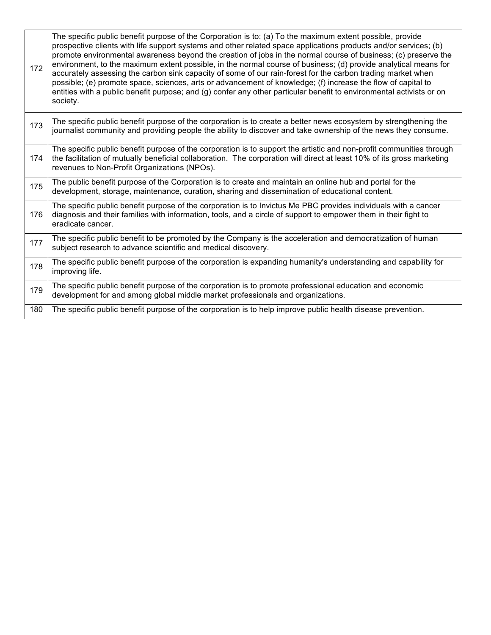| 172 | The specific public benefit purpose of the Corporation is to: (a) To the maximum extent possible, provide<br>prospective clients with life support systems and other related space applications products and/or services; (b)<br>promote environmental awareness beyond the creation of jobs in the normal course of business; (c) preserve the<br>environment, to the maximum extent possible, in the normal course of business; (d) provide analytical means for<br>accurately assessing the carbon sink capacity of some of our rain-forest for the carbon trading market when<br>possible; (e) promote space, sciences, arts or advancement of knowledge; (f) increase the flow of capital to<br>entities with a public benefit purpose; and (g) confer any other particular benefit to environmental activists or on<br>society. |
|-----|---------------------------------------------------------------------------------------------------------------------------------------------------------------------------------------------------------------------------------------------------------------------------------------------------------------------------------------------------------------------------------------------------------------------------------------------------------------------------------------------------------------------------------------------------------------------------------------------------------------------------------------------------------------------------------------------------------------------------------------------------------------------------------------------------------------------------------------|
| 173 | The specific public benefit purpose of the corporation is to create a better news ecosystem by strengthening the<br>journalist community and providing people the ability to discover and take ownership of the news they consume.                                                                                                                                                                                                                                                                                                                                                                                                                                                                                                                                                                                                    |
| 174 | The specific public benefit purpose of the corporation is to support the artistic and non-profit communities through<br>the facilitation of mutually beneficial collaboration. The corporation will direct at least 10% of its gross marketing<br>revenues to Non-Profit Organizations (NPOs).                                                                                                                                                                                                                                                                                                                                                                                                                                                                                                                                        |
| 175 | The public benefit purpose of the Corporation is to create and maintain an online hub and portal for the<br>development, storage, maintenance, curation, sharing and dissemination of educational content.                                                                                                                                                                                                                                                                                                                                                                                                                                                                                                                                                                                                                            |
| 176 | The specific public benefit purpose of the corporation is to Invictus Me PBC provides individuals with a cancer<br>diagnosis and their families with information, tools, and a circle of support to empower them in their fight to<br>eradicate cancer.                                                                                                                                                                                                                                                                                                                                                                                                                                                                                                                                                                               |
| 177 | The specific public benefit to be promoted by the Company is the acceleration and democratization of human<br>subject research to advance scientific and medical discovery.                                                                                                                                                                                                                                                                                                                                                                                                                                                                                                                                                                                                                                                           |
| 178 | The specific public benefit purpose of the corporation is expanding humanity's understanding and capability for<br>improving life.                                                                                                                                                                                                                                                                                                                                                                                                                                                                                                                                                                                                                                                                                                    |
| 179 | The specific public benefit purpose of the corporation is to promote professional education and economic<br>development for and among global middle market professionals and organizations.                                                                                                                                                                                                                                                                                                                                                                                                                                                                                                                                                                                                                                           |
| 180 | The specific public benefit purpose of the corporation is to help improve public health disease prevention.                                                                                                                                                                                                                                                                                                                                                                                                                                                                                                                                                                                                                                                                                                                           |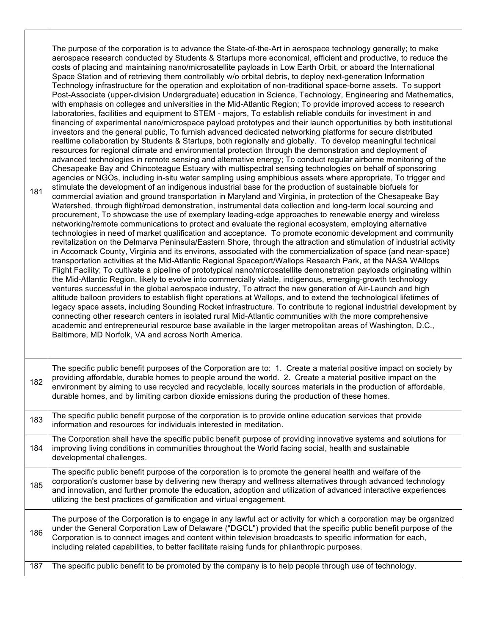| 181 | The purpose of the corporation is to advance the State-of-the-Art in aerospace technology generally; to make<br>aerospace research conducted by Students & Startups more economical, efficient and productive, to reduce the<br>costs of placing and maintaining nano/microsatellite payloads in Low Earth Orbit, or aboard the International<br>Space Station and of retrieving them controllably w/o orbital debris, to deploy next-generation Information<br>Technology infrastructure for the operation and exploitation of non-traditional space-borne assets. To support<br>Post-Associate (upper-division Undergraduate) education in Science, Technology, Engineering and Mathematics,<br>with emphasis on colleges and universities in the Mid-Atlantic Region; To provide improved access to research<br>laboratories, facilities and equipment to STEM - majors, To establish reliable conduits for investment in and<br>financing of experimental nano/microspace payload prototypes and their launch opportunities by both institutional<br>investors and the general public, To furnish advanced dedicated networking platforms for secure distributed<br>realtime collaboration by Students & Startups, both regionally and globally. To develop meaningful technical<br>resources for regional climate and environmental protection through the demonstration and deployment of<br>advanced technologies in remote sensing and alternative energy; To conduct regular airborne monitoring of the<br>Chesapeake Bay and Chincoteague Estuary with multispectral sensing technologies on behalf of sponsoring<br>agencies or NGOs, including in-situ water sampling using amphibious assets where appropriate, To trigger and<br>stimulate the development of an indigenous industrial base for the production of sustainable biofuels for<br>commercial aviation and ground transportation in Maryland and Virginia, in protection of the Chesapeake Bay<br>Watershed, through flight/road demonstration, instrumental data collection and long-term local sourcing and<br>procurement, To showcase the use of exemplary leading-edge approaches to renewable energy and wireless<br>networking/remote communications to protect and evaluate the regional ecosystem, employing alternative<br>technologies in need of market qualification and acceptance. To promote economic development and community<br>revitalization on the Delmarva Peninsula/Eastern Shore, through the attraction and stimulation of industrial activity<br>in Accomack County, Virginia and its environs, associated with the commercialization of space (and near-space)<br>transportation activities at the Mid-Atlantic Regional Spaceport/Wallops Research Park, at the NASA WAllops<br>Flight Facility; To cultivate a pipeline of prototypical nano/microsatellite demonstration payloads originating within<br>the Mid-Atlantic Region, likely to evolve into commercially viable, indigenous, emerging-growth technology<br>ventures successful in the global aerospace industry, To attract the new generation of Air-Launch and high<br>altitude balloon providers to establish flight operations at Wallops, and to extend the technological lifetimes of<br>legacy space assets, including Sounding Rocket infrastructure. To contribute to regional industrial development by<br>connecting other research centers in isolated rural Mid-Atlantic communities with the more comprehensive<br>academic and entrepreneurial resource base available in the larger metropolitan areas of Washington, D.C.,<br>Baltimore, MD Norfolk, VA and across North America. |
|-----|-----------------------------------------------------------------------------------------------------------------------------------------------------------------------------------------------------------------------------------------------------------------------------------------------------------------------------------------------------------------------------------------------------------------------------------------------------------------------------------------------------------------------------------------------------------------------------------------------------------------------------------------------------------------------------------------------------------------------------------------------------------------------------------------------------------------------------------------------------------------------------------------------------------------------------------------------------------------------------------------------------------------------------------------------------------------------------------------------------------------------------------------------------------------------------------------------------------------------------------------------------------------------------------------------------------------------------------------------------------------------------------------------------------------------------------------------------------------------------------------------------------------------------------------------------------------------------------------------------------------------------------------------------------------------------------------------------------------------------------------------------------------------------------------------------------------------------------------------------------------------------------------------------------------------------------------------------------------------------------------------------------------------------------------------------------------------------------------------------------------------------------------------------------------------------------------------------------------------------------------------------------------------------------------------------------------------------------------------------------------------------------------------------------------------------------------------------------------------------------------------------------------------------------------------------------------------------------------------------------------------------------------------------------------------------------------------------------------------------------------------------------------------------------------------------------------------------------------------------------------------------------------------------------------------------------------------------------------------------------------------------------------------------------------------------------------------------------------------------------------------------------------------------------------------------------------------------------------------------------------------------------------------------------------------------------------------------------------------------------------------------------------------------------------------------------------------------------------------------------------------------------------------------------------------------------------------------------------------------------------------------------------------------------------------|
| 182 | The specific public benefit purposes of the Corporation are to: 1. Create a material positive impact on society by<br>providing affordable, durable homes to people around the world. 2. Create a material positive impact on the<br>environment by aiming to use recycled and recyclable, locally sources materials in the production of affordable,<br>durable homes, and by limiting carbon dioxide emissions during the production of these homes.                                                                                                                                                                                                                                                                                                                                                                                                                                                                                                                                                                                                                                                                                                                                                                                                                                                                                                                                                                                                                                                                                                                                                                                                                                                                                                                                                                                                                                                                                                                                                                                                                                                                                                                                                                                                                                                                                                                                                                                                                                                                                                                                                                                                                                                                                                                                                                                                                                                                                                                                                                                                                                                                                                                                                                                                                                                                                                                                                                                                                                                                                                                                                                                                                |
| 183 | The specific public benefit purpose of the corporation is to provide online education services that provide<br>information and resources for individuals interested in meditation.                                                                                                                                                                                                                                                                                                                                                                                                                                                                                                                                                                                                                                                                                                                                                                                                                                                                                                                                                                                                                                                                                                                                                                                                                                                                                                                                                                                                                                                                                                                                                                                                                                                                                                                                                                                                                                                                                                                                                                                                                                                                                                                                                                                                                                                                                                                                                                                                                                                                                                                                                                                                                                                                                                                                                                                                                                                                                                                                                                                                                                                                                                                                                                                                                                                                                                                                                                                                                                                                                    |
| 184 | The Corporation shall have the specific public benefit purpose of providing innovative systems and solutions for<br>improving living conditions in communities throughout the World facing social, health and sustainable<br>developmental challenges.                                                                                                                                                                                                                                                                                                                                                                                                                                                                                                                                                                                                                                                                                                                                                                                                                                                                                                                                                                                                                                                                                                                                                                                                                                                                                                                                                                                                                                                                                                                                                                                                                                                                                                                                                                                                                                                                                                                                                                                                                                                                                                                                                                                                                                                                                                                                                                                                                                                                                                                                                                                                                                                                                                                                                                                                                                                                                                                                                                                                                                                                                                                                                                                                                                                                                                                                                                                                                |
| 185 | The specific public benefit purpose of the corporation is to promote the general health and welfare of the<br>corporation's customer base by delivering new therapy and wellness alternatives through advanced technology<br>and innovation, and further promote the education, adoption and utilization of advanced interactive experiences<br>utilizing the best practices of gamification and virtual engagement.                                                                                                                                                                                                                                                                                                                                                                                                                                                                                                                                                                                                                                                                                                                                                                                                                                                                                                                                                                                                                                                                                                                                                                                                                                                                                                                                                                                                                                                                                                                                                                                                                                                                                                                                                                                                                                                                                                                                                                                                                                                                                                                                                                                                                                                                                                                                                                                                                                                                                                                                                                                                                                                                                                                                                                                                                                                                                                                                                                                                                                                                                                                                                                                                                                                  |
| 186 | The purpose of the Corporation is to engage in any lawful act or activity for which a corporation may be organized<br>under the General Corporation Law of Delaware ("DGCL") provided that the specific public benefit purpose of the<br>Corporation is to connect images and content within television broadcasts to specific information for each,<br>including related capabilities, to better facilitate raising funds for philanthropic purposes.                                                                                                                                                                                                                                                                                                                                                                                                                                                                                                                                                                                                                                                                                                                                                                                                                                                                                                                                                                                                                                                                                                                                                                                                                                                                                                                                                                                                                                                                                                                                                                                                                                                                                                                                                                                                                                                                                                                                                                                                                                                                                                                                                                                                                                                                                                                                                                                                                                                                                                                                                                                                                                                                                                                                                                                                                                                                                                                                                                                                                                                                                                                                                                                                                |
| 187 | The specific public benefit to be promoted by the company is to help people through use of technology.                                                                                                                                                                                                                                                                                                                                                                                                                                                                                                                                                                                                                                                                                                                                                                                                                                                                                                                                                                                                                                                                                                                                                                                                                                                                                                                                                                                                                                                                                                                                                                                                                                                                                                                                                                                                                                                                                                                                                                                                                                                                                                                                                                                                                                                                                                                                                                                                                                                                                                                                                                                                                                                                                                                                                                                                                                                                                                                                                                                                                                                                                                                                                                                                                                                                                                                                                                                                                                                                                                                                                                |

 $\mathbf{I}$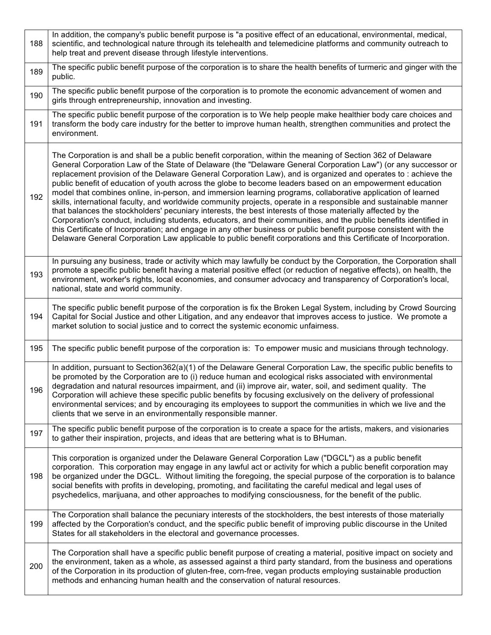| 188 | In addition, the company's public benefit purpose is "a positive effect of an educational, environmental, medical,<br>scientific, and technological nature through its telehealth and telemedicine platforms and community outreach to<br>help treat and prevent disease through lifestyle interventions.                                                                                                                                                                                                                                                                                                                                                                                                                                                                                                                                                                                                                                                                                                                                                                                                                                                                      |
|-----|--------------------------------------------------------------------------------------------------------------------------------------------------------------------------------------------------------------------------------------------------------------------------------------------------------------------------------------------------------------------------------------------------------------------------------------------------------------------------------------------------------------------------------------------------------------------------------------------------------------------------------------------------------------------------------------------------------------------------------------------------------------------------------------------------------------------------------------------------------------------------------------------------------------------------------------------------------------------------------------------------------------------------------------------------------------------------------------------------------------------------------------------------------------------------------|
| 189 | The specific public benefit purpose of the corporation is to share the health benefits of turmeric and ginger with the<br>public.                                                                                                                                                                                                                                                                                                                                                                                                                                                                                                                                                                                                                                                                                                                                                                                                                                                                                                                                                                                                                                              |
| 190 | The specific public benefit purpose of the corporation is to promote the economic advancement of women and<br>girls through entrepreneurship, innovation and investing.                                                                                                                                                                                                                                                                                                                                                                                                                                                                                                                                                                                                                                                                                                                                                                                                                                                                                                                                                                                                        |
| 191 | The specific public benefit purpose of the corporation is to We help people make healthier body care choices and<br>transform the body care industry for the better to improve human health, strengthen communities and protect the<br>environment.                                                                                                                                                                                                                                                                                                                                                                                                                                                                                                                                                                                                                                                                                                                                                                                                                                                                                                                            |
| 192 | The Corporation is and shall be a public benefit corporation, within the meaning of Section 362 of Delaware<br>General Corporation Law of the State of Delaware (the "Delaware General Corporation Law") (or any successor or<br>replacement provision of the Delaware General Corporation Law), and is organized and operates to: achieve the<br>public benefit of education of youth across the globe to become leaders based on an empowerment education<br>model that combines online, in-person, and immersion learning programs, collaborative application of learned<br>skills, international faculty, and worldwide community projects, operate in a responsible and sustainable manner<br>that balances the stockholders' pecuniary interests, the best interests of those materially affected by the<br>Corporation's conduct, including students, educators, and their communities, and the public benefits identified in<br>this Certificate of Incorporation; and engage in any other business or public benefit purpose consistent with the<br>Delaware General Corporation Law applicable to public benefit corporations and this Certificate of Incorporation. |
| 193 | In pursuing any business, trade or activity which may lawfully be conduct by the Corporation, the Corporation shall<br>promote a specific public benefit having a material positive effect (or reduction of negative effects), on health, the<br>environment, worker's rights, local economies, and consumer advocacy and transparency of Corporation's local,<br>national, state and world community.                                                                                                                                                                                                                                                                                                                                                                                                                                                                                                                                                                                                                                                                                                                                                                         |
| 194 | The specific public benefit purpose of the corporation is fix the Broken Legal System, including by Crowd Sourcing<br>Capital for Social Justice and other Litigation, and any endeavor that improves access to justice. We promote a<br>market solution to social justice and to correct the systemic economic unfairness.                                                                                                                                                                                                                                                                                                                                                                                                                                                                                                                                                                                                                                                                                                                                                                                                                                                    |
| 195 | The specific public benefit purpose of the corporation is: To empower music and musicians through technology.                                                                                                                                                                                                                                                                                                                                                                                                                                                                                                                                                                                                                                                                                                                                                                                                                                                                                                                                                                                                                                                                  |
| 196 | In addition, pursuant to Section362(a)(1) of the Delaware General Corporation Law, the specific public benefits to<br>be promoted by the Corporation are to (i) reduce human and ecological risks associated with environmental<br>degradation and natural resources impairment, and (ii) improve air, water, soil, and sediment quality. The<br>Corporation will achieve these specific public benefits by focusing exclusively on the delivery of professional<br>environmental services; and by encouraging its employees to support the communities in which we live and the<br>clients that we serve in an environmentally responsible manner.                                                                                                                                                                                                                                                                                                                                                                                                                                                                                                                            |
| 197 | The specific public benefit purpose of the corporation is to create a space for the artists, makers, and visionaries<br>to gather their inspiration, projects, and ideas that are bettering what is to BHuman.                                                                                                                                                                                                                                                                                                                                                                                                                                                                                                                                                                                                                                                                                                                                                                                                                                                                                                                                                                 |
| 198 | This corporation is organized under the Delaware General Corporation Law ("DGCL") as a public benefit<br>corporation. This corporation may engage in any lawful act or activity for which a public benefit corporation may<br>be organized under the DGCL. Without limiting the foregoing, the special purpose of the corporation is to balance<br>social benefits with profits in developing, promoting, and facilitating the careful medical and legal uses of<br>psychedelics, marijuana, and other approaches to modifying consciousness, for the benefit of the public.                                                                                                                                                                                                                                                                                                                                                                                                                                                                                                                                                                                                   |
| 199 | The Corporation shall balance the pecuniary interests of the stockholders, the best interests of those materially<br>affected by the Corporation's conduct, and the specific public benefit of improving public discourse in the United<br>States for all stakeholders in the electoral and governance processes.                                                                                                                                                                                                                                                                                                                                                                                                                                                                                                                                                                                                                                                                                                                                                                                                                                                              |
| 200 | The Corporation shall have a specific public benefit purpose of creating a material, positive impact on society and<br>the environment, taken as a whole, as assessed against a third party standard, from the business and operations<br>of the Corporation in its production of gluten-free, corn-free, vegan products employing sustainable production<br>methods and enhancing human health and the conservation of natural resources.                                                                                                                                                                                                                                                                                                                                                                                                                                                                                                                                                                                                                                                                                                                                     |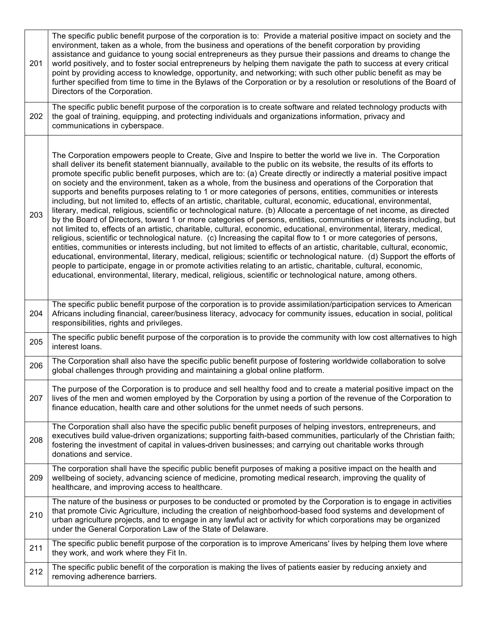| 201 | The specific public benefit purpose of the corporation is to: Provide a material positive impact on society and the<br>environment, taken as a whole, from the business and operations of the benefit corporation by providing<br>assistance and guidance to young social entrepreneurs as they pursue their passions and dreams to change the<br>world positively, and to foster social entrepreneurs by helping them navigate the path to success at every critical<br>point by providing access to knowledge, opportunity, and networking; with such other public benefit as may be<br>further specified from time to time in the Bylaws of the Corporation or by a resolution or resolutions of the Board of<br>Directors of the Corporation.                                                                                                                                                                                                                                                                                                                                                                                                                                                                                                                                                                                                                                                                                                                                                                                                                                                                                                                                                              |
|-----|----------------------------------------------------------------------------------------------------------------------------------------------------------------------------------------------------------------------------------------------------------------------------------------------------------------------------------------------------------------------------------------------------------------------------------------------------------------------------------------------------------------------------------------------------------------------------------------------------------------------------------------------------------------------------------------------------------------------------------------------------------------------------------------------------------------------------------------------------------------------------------------------------------------------------------------------------------------------------------------------------------------------------------------------------------------------------------------------------------------------------------------------------------------------------------------------------------------------------------------------------------------------------------------------------------------------------------------------------------------------------------------------------------------------------------------------------------------------------------------------------------------------------------------------------------------------------------------------------------------------------------------------------------------------------------------------------------------|
| 202 | The specific public benefit purpose of the corporation is to create software and related technology products with<br>the goal of training, equipping, and protecting individuals and organizations information, privacy and<br>communications in cyberspace.                                                                                                                                                                                                                                                                                                                                                                                                                                                                                                                                                                                                                                                                                                                                                                                                                                                                                                                                                                                                                                                                                                                                                                                                                                                                                                                                                                                                                                                   |
| 203 | The Corporation empowers people to Create, Give and Inspire to better the world we live in. The Corporation<br>shall deliver its benefit statement biannually, available to the public on its website, the results of its efforts to<br>promote specific public benefit purposes, which are to: (a) Create directly or indirectly a material positive impact<br>on society and the environment, taken as a whole, from the business and operations of the Corporation that<br>supports and benefits purposes relating to 1 or more categories of persons, entities, communities or interests<br>including, but not limited to, effects of an artistic, charitable, cultural, economic, educational, environmental,<br>literary, medical, religious, scientific or technological nature. (b) Allocate a percentage of net income, as directed<br>by the Board of Directors, toward 1 or more categories of persons, entities, communities or interests including, but<br>not limited to, effects of an artistic, charitable, cultural, economic, educational, environmental, literary, medical,<br>religious, scientific or technological nature. (c) Increasing the capital flow to 1 or more categories of persons,<br>entities, communities or interests including, but not limited to effects of an artistic, charitable, cultural, economic,<br>educational, environmental, literary, medical, religious; scientific or technological nature. (d) Support the efforts of<br>people to participate, engage in or promote activities relating to an artistic, charitable, cultural, economic,<br>educational, environmental, literary, medical, religious, scientific or technological nature, among others. |
| 204 | The specific public benefit purpose of the corporation is to provide assimilation/participation services to American<br>Africans including financial, career/business literacy, advocacy for community issues, education in social, political<br>responsibilities, rights and privileges.                                                                                                                                                                                                                                                                                                                                                                                                                                                                                                                                                                                                                                                                                                                                                                                                                                                                                                                                                                                                                                                                                                                                                                                                                                                                                                                                                                                                                      |
| 205 | The specific public benefit purpose of the corporation is to provide the community with low cost alternatives to high<br>interest loans.                                                                                                                                                                                                                                                                                                                                                                                                                                                                                                                                                                                                                                                                                                                                                                                                                                                                                                                                                                                                                                                                                                                                                                                                                                                                                                                                                                                                                                                                                                                                                                       |
| 206 | The Corporation shall also have the specific public benefit purpose of fostering worldwide collaboration to solve<br>global challenges through providing and maintaining a global online platform.                                                                                                                                                                                                                                                                                                                                                                                                                                                                                                                                                                                                                                                                                                                                                                                                                                                                                                                                                                                                                                                                                                                                                                                                                                                                                                                                                                                                                                                                                                             |
| 207 | The purpose of the Corporation is to produce and sell healthy food and to create a material positive impact on the<br>lives of the men and women employed by the Corporation by using a portion of the revenue of the Corporation to<br>finance education, health care and other solutions for the unmet needs of such persons.                                                                                                                                                                                                                                                                                                                                                                                                                                                                                                                                                                                                                                                                                                                                                                                                                                                                                                                                                                                                                                                                                                                                                                                                                                                                                                                                                                                |
| 208 | The Corporation shall also have the specific public benefit purposes of helping investors, entrepreneurs, and<br>executives build value-driven organizations; supporting faith-based communities, particularly of the Christian faith;<br>fostering the investment of capital in values-driven businesses; and carrying out charitable works through<br>donations and service.                                                                                                                                                                                                                                                                                                                                                                                                                                                                                                                                                                                                                                                                                                                                                                                                                                                                                                                                                                                                                                                                                                                                                                                                                                                                                                                                 |
| 209 | The corporation shall have the specific public benefit purposes of making a positive impact on the health and<br>wellbeing of society, advancing science of medicine, promoting medical research, improving the quality of<br>healthcare, and improving access to healthcare.                                                                                                                                                                                                                                                                                                                                                                                                                                                                                                                                                                                                                                                                                                                                                                                                                                                                                                                                                                                                                                                                                                                                                                                                                                                                                                                                                                                                                                  |
| 210 | The nature of the business or purposes to be conducted or promoted by the Corporation is to engage in activities<br>that promote Civic Agriculture, including the creation of neighborhood-based food systems and development of<br>urban agriculture projects, and to engage in any lawful act or activity for which corporations may be organized<br>under the General Corporation Law of the State of Delaware.                                                                                                                                                                                                                                                                                                                                                                                                                                                                                                                                                                                                                                                                                                                                                                                                                                                                                                                                                                                                                                                                                                                                                                                                                                                                                             |
| 211 | The specific public benefit purpose of the corporation is to improve Americans' lives by helping them love where<br>they work, and work where they Fit In.                                                                                                                                                                                                                                                                                                                                                                                                                                                                                                                                                                                                                                                                                                                                                                                                                                                                                                                                                                                                                                                                                                                                                                                                                                                                                                                                                                                                                                                                                                                                                     |
| 212 | The specific public benefit of the corporation is making the lives of patients easier by reducing anxiety and<br>removing adherence barriers.                                                                                                                                                                                                                                                                                                                                                                                                                                                                                                                                                                                                                                                                                                                                                                                                                                                                                                                                                                                                                                                                                                                                                                                                                                                                                                                                                                                                                                                                                                                                                                  |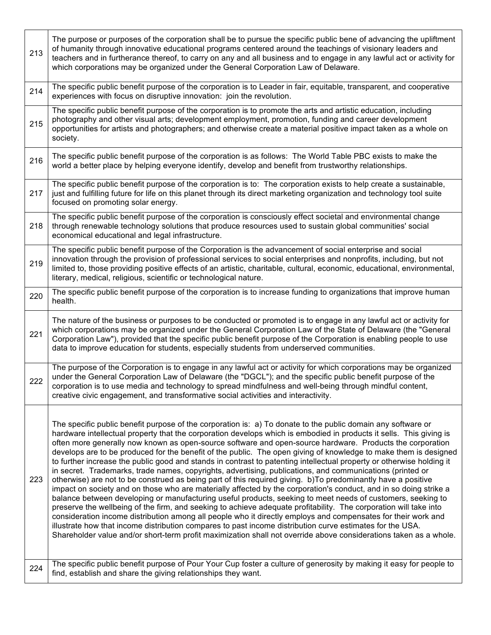| 213 | The purpose or purposes of the corporation shall be to pursue the specific public bene of advancing the upliftment<br>of humanity through innovative educational programs centered around the teachings of visionary leaders and<br>teachers and in furtherance thereof, to carry on any and all business and to engage in any lawful act or activity for<br>which corporations may be organized under the General Corporation Law of Delaware.                                                                                                                                                                                                                                                                                                                                                                                                                                                                                                                                                                                                                                                                                                                                                                                                                                                                                                                                                                                                                                                                                        |
|-----|----------------------------------------------------------------------------------------------------------------------------------------------------------------------------------------------------------------------------------------------------------------------------------------------------------------------------------------------------------------------------------------------------------------------------------------------------------------------------------------------------------------------------------------------------------------------------------------------------------------------------------------------------------------------------------------------------------------------------------------------------------------------------------------------------------------------------------------------------------------------------------------------------------------------------------------------------------------------------------------------------------------------------------------------------------------------------------------------------------------------------------------------------------------------------------------------------------------------------------------------------------------------------------------------------------------------------------------------------------------------------------------------------------------------------------------------------------------------------------------------------------------------------------------|
| 214 | The specific public benefit purpose of the corporation is to Leader in fair, equitable, transparent, and cooperative<br>experiences with focus on disruptive innovation: join the revolution.                                                                                                                                                                                                                                                                                                                                                                                                                                                                                                                                                                                                                                                                                                                                                                                                                                                                                                                                                                                                                                                                                                                                                                                                                                                                                                                                          |
| 215 | The specific public benefit purpose of the corporation is to promote the arts and artistic education, including<br>photography and other visual arts; development employment, promotion, funding and career development<br>opportunities for artists and photographers; and otherwise create a material positive impact taken as a whole on<br>society.                                                                                                                                                                                                                                                                                                                                                                                                                                                                                                                                                                                                                                                                                                                                                                                                                                                                                                                                                                                                                                                                                                                                                                                |
| 216 | The specific public benefit purpose of the corporation is as follows: The World Table PBC exists to make the<br>world a better place by helping everyone identify, develop and benefit from trustworthy relationships.                                                                                                                                                                                                                                                                                                                                                                                                                                                                                                                                                                                                                                                                                                                                                                                                                                                                                                                                                                                                                                                                                                                                                                                                                                                                                                                 |
| 217 | The specific public benefit purpose of the corporation is to: The corporation exists to help create a sustainable,<br>just and fulfilling future for life on this planet through its direct marketing organization and technology tool suite<br>focused on promoting solar energy.                                                                                                                                                                                                                                                                                                                                                                                                                                                                                                                                                                                                                                                                                                                                                                                                                                                                                                                                                                                                                                                                                                                                                                                                                                                     |
| 218 | The specific public benefit purpose of the corporation is consciously effect societal and environmental change<br>through renewable technology solutions that produce resources used to sustain global communities' social<br>economical educational and legal infrastructure.                                                                                                                                                                                                                                                                                                                                                                                                                                                                                                                                                                                                                                                                                                                                                                                                                                                                                                                                                                                                                                                                                                                                                                                                                                                         |
| 219 | The specific public benefit purpose of the Corporation is the advancement of social enterprise and social<br>innovation through the provision of professional services to social enterprises and nonprofits, including, but not<br>limited to, those providing positive effects of an artistic, charitable, cultural, economic, educational, environmental,<br>literary, medical, religious, scientific or technological nature.                                                                                                                                                                                                                                                                                                                                                                                                                                                                                                                                                                                                                                                                                                                                                                                                                                                                                                                                                                                                                                                                                                       |
| 220 | The specific public benefit purpose of the corporation is to increase funding to organizations that improve human<br>health.                                                                                                                                                                                                                                                                                                                                                                                                                                                                                                                                                                                                                                                                                                                                                                                                                                                                                                                                                                                                                                                                                                                                                                                                                                                                                                                                                                                                           |
| 221 | The nature of the business or purposes to be conducted or promoted is to engage in any lawful act or activity for<br>which corporations may be organized under the General Corporation Law of the State of Delaware (the "General<br>Corporation Law"), provided that the specific public benefit purpose of the Corporation is enabling people to use<br>data to improve education for students, especially students from underserved communities.                                                                                                                                                                                                                                                                                                                                                                                                                                                                                                                                                                                                                                                                                                                                                                                                                                                                                                                                                                                                                                                                                    |
| 222 | The purpose of the Corporation is to engage in any lawful act or activity for which corporations may be organized<br>under the General Corporation Law of Delaware (the "DGCL"); and the specific public benefit purpose of the<br>corporation is to use media and technology to spread mindfulness and well-being through mindful content,<br>creative civic engagement, and transformative social activities and interactivity.                                                                                                                                                                                                                                                                                                                                                                                                                                                                                                                                                                                                                                                                                                                                                                                                                                                                                                                                                                                                                                                                                                      |
| 223 | The specific public benefit purpose of the corporation is: a) To donate to the public domain any software or<br>hardware intellectual property that the corporation develops which is embodied in products it sells. This giving is<br>often more generally now known as open-source software and open-source hardware. Products the corporation<br>develops are to be produced for the benefit of the public. The open giving of knowledge to make them is designed<br>to further increase the public good and stands in contrast to patenting intellectual property or otherwise holding it<br>in secret. Trademarks, trade names, copyrights, advertising, publications, and communications (printed or<br>otherwise) are not to be construed as being part of this required giving. b)To predominantly have a positive<br>impact on society and on those who are materially affected by the corporation's conduct, and in so doing strike a<br>balance between developing or manufacturing useful products, seeking to meet needs of customers, seeking to<br>preserve the wellbeing of the firm, and seeking to achieve adequate profitability. The corporation will take into<br>consideration income distribution among all people who it directly employs and compensates for their work and<br>illustrate how that income distribution compares to past income distribution curve estimates for the USA.<br>Shareholder value and/or short-term profit maximization shall not override above considerations taken as a whole. |
| 224 | The specific public benefit purpose of Pour Your Cup foster a culture of generosity by making it easy for people to<br>find, establish and share the giving relationships they want.                                                                                                                                                                                                                                                                                                                                                                                                                                                                                                                                                                                                                                                                                                                                                                                                                                                                                                                                                                                                                                                                                                                                                                                                                                                                                                                                                   |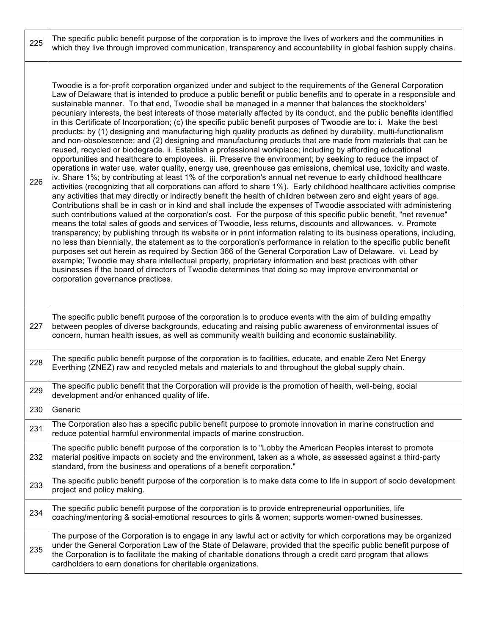| 225 | The specific public benefit purpose of the corporation is to improve the lives of workers and the communities in<br>which they live through improved communication, transparency and accountability in global fashion supply chains.                                                                                                                                                                                                                                                                                                                                                                                                                                                                                                                                                                                                                                                                                                                                                                                                                                                                                                                                                                                                                                                                                                                                                                                                                                                                                                                                                                                                                                                                                                                                                                                                                                                                                                                                                                                                                                                                                                                                                                                                                                                                                                                                                                                                                                                                                                       |
|-----|--------------------------------------------------------------------------------------------------------------------------------------------------------------------------------------------------------------------------------------------------------------------------------------------------------------------------------------------------------------------------------------------------------------------------------------------------------------------------------------------------------------------------------------------------------------------------------------------------------------------------------------------------------------------------------------------------------------------------------------------------------------------------------------------------------------------------------------------------------------------------------------------------------------------------------------------------------------------------------------------------------------------------------------------------------------------------------------------------------------------------------------------------------------------------------------------------------------------------------------------------------------------------------------------------------------------------------------------------------------------------------------------------------------------------------------------------------------------------------------------------------------------------------------------------------------------------------------------------------------------------------------------------------------------------------------------------------------------------------------------------------------------------------------------------------------------------------------------------------------------------------------------------------------------------------------------------------------------------------------------------------------------------------------------------------------------------------------------------------------------------------------------------------------------------------------------------------------------------------------------------------------------------------------------------------------------------------------------------------------------------------------------------------------------------------------------------------------------------------------------------------------------------------------------|
| 226 | Twoodie is a for-profit corporation organized under and subject to the requirements of the General Corporation<br>Law of Delaware that is intended to produce a public benefit or public benefits and to operate in a responsible and<br>sustainable manner. To that end, Twoodie shall be managed in a manner that balances the stockholders'<br>pecuniary interests, the best interests of those materially affected by its conduct, and the public benefits identified<br>in this Certificate of Incorporation; (c) the specific public benefit purposes of Twoodie are to: i. Make the best<br>products: by (1) designing and manufacturing high quality products as defined by durability, multi-functionalism<br>and non-obsolescence; and (2) designing and manufacturing products that are made from materials that can be<br>reused, recycled or biodegrade. ii. Establish a professional workplace; including by affording educational<br>opportunities and healthcare to employees. iii. Preserve the environment; by seeking to reduce the impact of<br>operations in water use, water quality, energy use, greenhouse gas emissions, chemical use, toxicity and waste.<br>iv. Share 1%; by contributing at least 1% of the corporation's annual net revenue to early childhood healthcare<br>activities (recognizing that all corporations can afford to share 1%). Early childhood healthcare activities comprise<br>any activities that may directly or indirectly benefit the health of children between zero and eight years of age.<br>Contributions shall be in cash or in kind and shall include the expenses of Twoodie associated with administering<br>such contributions valued at the corporation's cost. For the purpose of this specific public benefit, "net revenue"<br>means the total sales of goods and services of Twoodie, less returns, discounts and allowances. v. Promote<br>transparency; by publishing through its website or in print information relating to its business operations, including,<br>no less than biennially, the statement as to the corporation's performance in relation to the specific public benefit<br>purposes set out herein as required by Section 366 of the General Corporation Law of Delaware. vi. Lead by<br>example; Twoodie may share intellectual property, proprietary information and best practices with other<br>businesses if the board of directors of Twoodie determines that doing so may improve environmental or<br>corporation governance practices. |
| 227 | The specific public benefit purpose of the corporation is to produce events with the aim of building empathy<br>between peoples of diverse backgrounds, educating and raising public awareness of environmental issues of<br>concern, human health issues, as well as community wealth building and economic sustainability.                                                                                                                                                                                                                                                                                                                                                                                                                                                                                                                                                                                                                                                                                                                                                                                                                                                                                                                                                                                                                                                                                                                                                                                                                                                                                                                                                                                                                                                                                                                                                                                                                                                                                                                                                                                                                                                                                                                                                                                                                                                                                                                                                                                                               |
| 228 | The specific public benefit purpose of the corporation is to facilities, educate, and enable Zero Net Energy<br>Everthing (ZNEZ) raw and recycled metals and materials to and throughout the global supply chain.                                                                                                                                                                                                                                                                                                                                                                                                                                                                                                                                                                                                                                                                                                                                                                                                                                                                                                                                                                                                                                                                                                                                                                                                                                                                                                                                                                                                                                                                                                                                                                                                                                                                                                                                                                                                                                                                                                                                                                                                                                                                                                                                                                                                                                                                                                                          |
| 229 | The specific public benefit that the Corporation will provide is the promotion of health, well-being, social<br>development and/or enhanced quality of life.                                                                                                                                                                                                                                                                                                                                                                                                                                                                                                                                                                                                                                                                                                                                                                                                                                                                                                                                                                                                                                                                                                                                                                                                                                                                                                                                                                                                                                                                                                                                                                                                                                                                                                                                                                                                                                                                                                                                                                                                                                                                                                                                                                                                                                                                                                                                                                               |
| 230 | Generic                                                                                                                                                                                                                                                                                                                                                                                                                                                                                                                                                                                                                                                                                                                                                                                                                                                                                                                                                                                                                                                                                                                                                                                                                                                                                                                                                                                                                                                                                                                                                                                                                                                                                                                                                                                                                                                                                                                                                                                                                                                                                                                                                                                                                                                                                                                                                                                                                                                                                                                                    |
| 231 | The Corporation also has a specific public benefit purpose to promote innovation in marine construction and<br>reduce potential harmful environmental impacts of marine construction.                                                                                                                                                                                                                                                                                                                                                                                                                                                                                                                                                                                                                                                                                                                                                                                                                                                                                                                                                                                                                                                                                                                                                                                                                                                                                                                                                                                                                                                                                                                                                                                                                                                                                                                                                                                                                                                                                                                                                                                                                                                                                                                                                                                                                                                                                                                                                      |
| 232 | The specific public benefit purpose of the corporation is to "Lobby the American Peoples interest to promote<br>material positive impacts on society and the environment, taken as a whole, as assessed against a third-party<br>standard, from the business and operations of a benefit corporation."                                                                                                                                                                                                                                                                                                                                                                                                                                                                                                                                                                                                                                                                                                                                                                                                                                                                                                                                                                                                                                                                                                                                                                                                                                                                                                                                                                                                                                                                                                                                                                                                                                                                                                                                                                                                                                                                                                                                                                                                                                                                                                                                                                                                                                     |
| 233 | The specific public benefit purpose of the corporation is to make data come to life in support of socio development<br>project and policy making.                                                                                                                                                                                                                                                                                                                                                                                                                                                                                                                                                                                                                                                                                                                                                                                                                                                                                                                                                                                                                                                                                                                                                                                                                                                                                                                                                                                                                                                                                                                                                                                                                                                                                                                                                                                                                                                                                                                                                                                                                                                                                                                                                                                                                                                                                                                                                                                          |
| 234 | The specific public benefit purpose of the corporation is to provide entrepreneurial opportunities, life<br>coaching/mentoring & social-emotional resources to girls & women; supports women-owned businesses.                                                                                                                                                                                                                                                                                                                                                                                                                                                                                                                                                                                                                                                                                                                                                                                                                                                                                                                                                                                                                                                                                                                                                                                                                                                                                                                                                                                                                                                                                                                                                                                                                                                                                                                                                                                                                                                                                                                                                                                                                                                                                                                                                                                                                                                                                                                             |
| 235 | The purpose of the Corporation is to engage in any lawful act or activity for which corporations may be organized<br>under the General Corporation Law of the State of Delaware, provided that the specific public benefit purpose of<br>the Corporation is to facilitate the making of charitable donations through a credit card program that allows<br>cardholders to earn donations for charitable organizations.                                                                                                                                                                                                                                                                                                                                                                                                                                                                                                                                                                                                                                                                                                                                                                                                                                                                                                                                                                                                                                                                                                                                                                                                                                                                                                                                                                                                                                                                                                                                                                                                                                                                                                                                                                                                                                                                                                                                                                                                                                                                                                                      |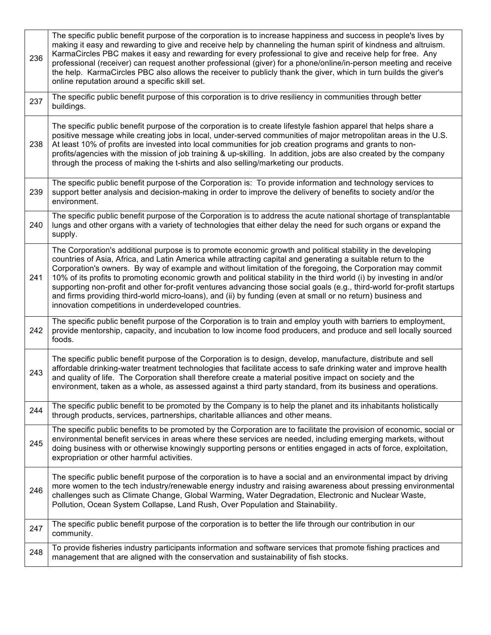| 236 | The specific public benefit purpose of the corporation is to increase happiness and success in people's lives by<br>making it easy and rewarding to give and receive help by channeling the human spirit of kindness and altruism.<br>KarmaCircles PBC makes it easy and rewarding for every professional to give and receive help for free. Any<br>professional (receiver) can request another professional (giver) for a phone/online/in-person meeting and receive<br>the help. KarmaCircles PBC also allows the receiver to publicly thank the giver, which in turn builds the giver's<br>online reputation around a specific skill set.                                                                                                                            |
|-----|-------------------------------------------------------------------------------------------------------------------------------------------------------------------------------------------------------------------------------------------------------------------------------------------------------------------------------------------------------------------------------------------------------------------------------------------------------------------------------------------------------------------------------------------------------------------------------------------------------------------------------------------------------------------------------------------------------------------------------------------------------------------------|
| 237 | The specific public benefit purpose of this corporation is to drive resiliency in communities through better<br>buildings.                                                                                                                                                                                                                                                                                                                                                                                                                                                                                                                                                                                                                                              |
| 238 | The specific public benefit purpose of the corporation is to create lifestyle fashion apparel that helps share a<br>positive message while creating jobs in local, under-served communities of major metropolitan areas in the U.S.<br>At least 10% of profits are invested into local communities for job creation programs and grants to non-<br>profits/agencies with the mission of job training & up-skilling. In addition, jobs are also created by the company<br>through the process of making the t-shirts and also selling/marketing our products.                                                                                                                                                                                                            |
| 239 | The specific public benefit purpose of the Corporation is: To provide information and technology services to<br>support better analysis and decision-making in order to improve the delivery of benefits to society and/or the<br>environment.                                                                                                                                                                                                                                                                                                                                                                                                                                                                                                                          |
| 240 | The specific public benefit purpose of the Corporation is to address the acute national shortage of transplantable<br>lungs and other organs with a variety of technologies that either delay the need for such organs or expand the<br>supply.                                                                                                                                                                                                                                                                                                                                                                                                                                                                                                                         |
| 241 | The Corporation's additional purpose is to promote economic growth and political stability in the developing<br>countries of Asia, Africa, and Latin America while attracting capital and generating a suitable return to the<br>Corporation's owners. By way of example and without limitation of the foregoing, the Corporation may commit<br>10% of its profits to promoting economic growth and political stability in the third world (i) by investing in and/or<br>supporting non-profit and other for-profit ventures advancing those social goals (e.g., third-world for-profit startups<br>and firms providing third-world micro-loans), and (ii) by funding (even at small or no return) business and<br>innovation competitions in underdeveloped countries. |
| 242 | The specific public benefit purpose of the Corporation is to train and employ youth with barriers to employment,<br>provide mentorship, capacity, and incubation to low income food producers, and produce and sell locally sourced<br>foods.                                                                                                                                                                                                                                                                                                                                                                                                                                                                                                                           |
| 243 | The specific public benefit purpose of the Corporation is to design, develop, manufacture, distribute and sell<br>affordable drinking-water treatment technologies that facilitate access to safe drinking water and improve health<br>and quality of life. The Corporation shall therefore create a material positive impact on society and the<br>environment, taken as a whole, as assessed against a third party standard, from its business and operations.                                                                                                                                                                                                                                                                                                        |
| 244 | The specific public benefit to be promoted by the Company is to help the planet and its inhabitants holistically<br>through products, services, partnerships, charitable alliances and other means.                                                                                                                                                                                                                                                                                                                                                                                                                                                                                                                                                                     |
| 245 | The specific public benefits to be promoted by the Corporation are to facilitate the provision of economic, social or<br>environmental benefit services in areas where these services are needed, including emerging markets, without<br>doing business with or otherwise knowingly supporting persons or entities engaged in acts of force, exploitation,<br>expropriation or other harmful activities.                                                                                                                                                                                                                                                                                                                                                                |
| 246 | The specific public benefit purpose of the corporation is to have a social and an environmental impact by driving<br>more women to the tech industry/renewable energy industry and raising awareness about pressing environmental<br>challenges such as Climate Change, Global Warming, Water Degradation, Electronic and Nuclear Waste,<br>Pollution, Ocean System Collapse, Land Rush, Over Population and Stainability.                                                                                                                                                                                                                                                                                                                                              |
| 247 | The specific public benefit purpose of the corporation is to better the life through our contribution in our<br>community.                                                                                                                                                                                                                                                                                                                                                                                                                                                                                                                                                                                                                                              |
| 248 | To provide fisheries industry participants information and software services that promote fishing practices and<br>management that are aligned with the conservation and sustainability of fish stocks.                                                                                                                                                                                                                                                                                                                                                                                                                                                                                                                                                                 |